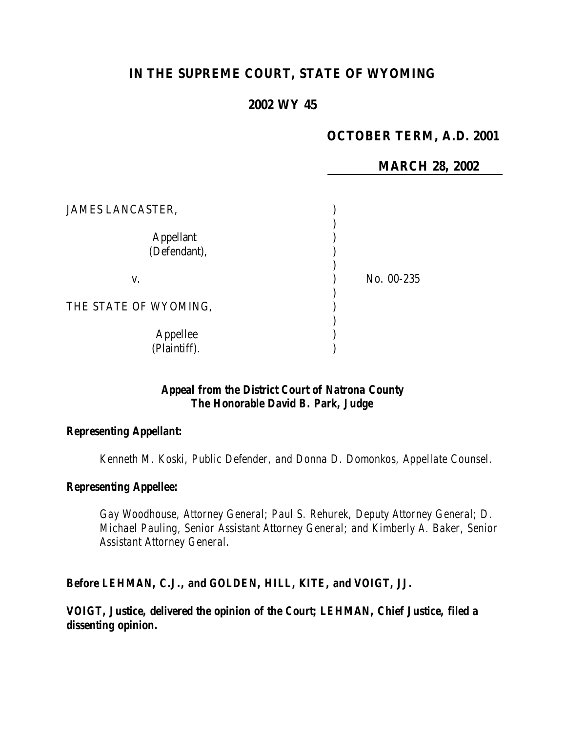# **IN THE SUPREME COURT, STATE OF WYOMING**

# **2002 WY 45**

## **OCTOBER TERM, A.D. 2001**

**MARCH 28, 2002**

| <b>JAMES LANCASTER,</b>          |            |
|----------------------------------|------------|
| <b>Appellant</b><br>(Defendant), |            |
| V.                               | No. 00-235 |
| THE STATE OF WYOMING,            |            |
| Appellee<br>(Plaintiff).         |            |

## *Appeal from the District Court of Natrona County The Honorable David B. Park, Judge*

#### *Representing Appellant:*

*Kenneth M. Koski, Public Defender, and Donna D. Domonkos, Appellate Counsel.*

## *Representing Appellee:*

*Gay Woodhouse, Attorney General; Paul S. Rehurek, Deputy Attorney General; D. Michael Pauling, Senior Assistant Attorney General; and Kimberly A. Baker, Senior Assistant Attorney General.*

### *Before LEHMAN, C.J., and GOLDEN, HILL, KITE, and VOIGT, JJ.*

*VOIGT, Justice, delivered the opinion of the Court; LEHMAN, Chief Justice, filed a dissenting opinion.*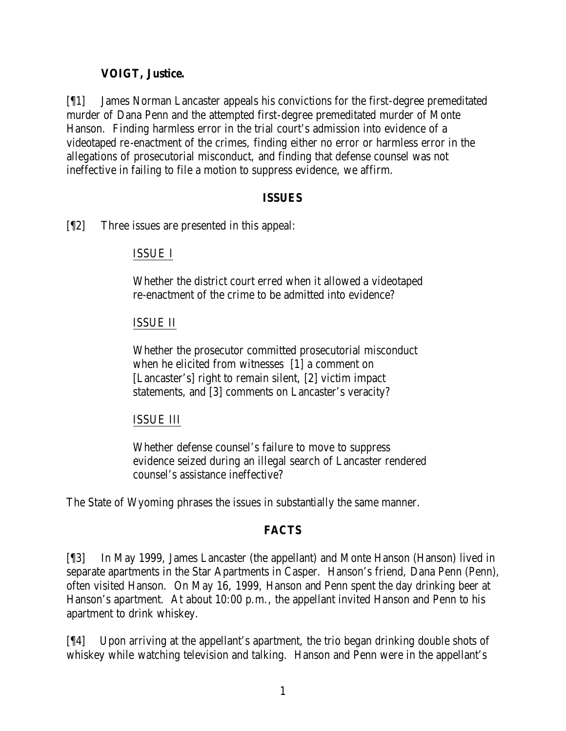## **VOIGT, Justice.**

[¶1] James Norman Lancaster appeals his convictions for the first-degree premeditated murder of Dana Penn and the attempted first-degree premeditated murder of Monte Hanson. Finding harmless error in the trial court's admission into evidence of a videotaped re-enactment of the crimes, finding either no error or harmless error in the allegations of prosecutorial misconduct, and finding that defense counsel was not ineffective in failing to file a motion to suppress evidence, we affirm.

### **ISSUES**

[¶2] Three issues are presented in this appeal:

## ISSUE I

Whether the district court erred when it allowed a videotaped re-enactment of the crime to be admitted into evidence?

## ISSUE II

Whether the prosecutor committed prosecutorial misconduct when he elicited from witnesses [1] a comment on [Lancaster's] right to remain silent, [2] victim impact statements, and [3] comments on Lancaster's veracity?

### ISSUE III

Whether defense counsel's failure to move to suppress evidence seized during an illegal search of Lancaster rendered counsel's assistance ineffective?

The State of Wyoming phrases the issues in substantially the same manner.

## **FACTS**

[¶3] In May 1999, James Lancaster (the appellant) and Monte Hanson (Hanson) lived in separate apartments in the Star Apartments in Casper. Hanson's friend, Dana Penn (Penn), often visited Hanson. On May 16, 1999, Hanson and Penn spent the day drinking beer at Hanson's apartment. At about 10:00 p.m., the appellant invited Hanson and Penn to his apartment to drink whiskey.

[¶4] Upon arriving at the appellant's apartment, the trio began drinking double shots of whiskey while watching television and talking. Hanson and Penn were in the appellant's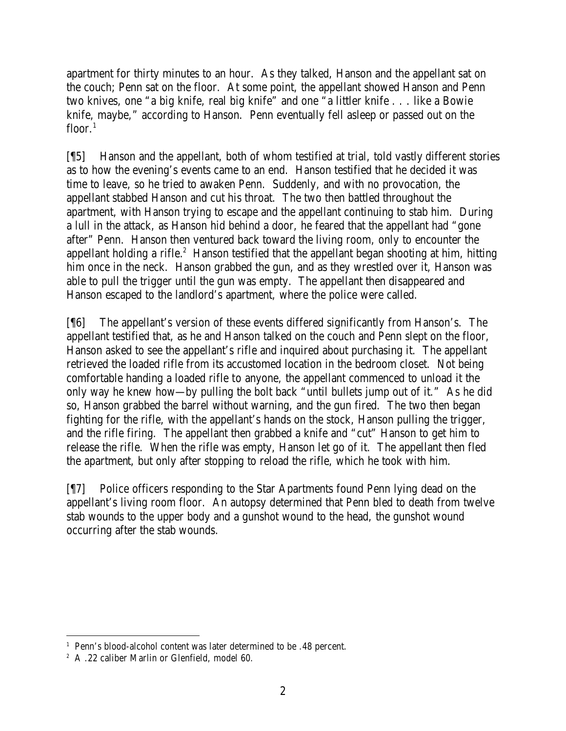apartment for thirty minutes to an hour. As they talked, Hanson and the appellant sat on the couch; Penn sat on the floor. At some point, the appellant showed Hanson and Penn two knives, one "a big knife, real big knife" and one "a littler knife . . . like a Bowie knife, maybe," according to Hanson. Penn eventually fell asleep or passed out on the floor. $1$ 

[¶5] Hanson and the appellant, both of whom testified at trial, told vastly different stories as to how the evening's events came to an end. Hanson testified that he decided it was time to leave, so he tried to awaken Penn. Suddenly, and with no provocation, the appellant stabbed Hanson and cut his throat. The two then battled throughout the apartment, with Hanson trying to escape and the appellant continuing to stab him. During a lull in the attack, as Hanson hid behind a door, he feared that the appellant had "gone after" Penn. Hanson then ventured back toward the living room, only to encounter the appellant holding a rifle.<sup>2</sup> Hanson testified that the appellant began shooting at him, hitting him once in the neck. Hanson grabbed the gun, and as they wrestled over it, Hanson was able to pull the trigger until the gun was empty. The appellant then disappeared and Hanson escaped to the landlord's apartment, where the police were called.

[¶6] The appellant's version of these events differed significantly from Hanson's. The appellant testified that, as he and Hanson talked on the couch and Penn slept on the floor, Hanson asked to see the appellant's rifle and inquired about purchasing it. The appellant retrieved the loaded rifle from its accustomed location in the bedroom closet. Not being comfortable handing a loaded rifle to anyone, the appellant commenced to unload it the only way he knew how—by pulling the bolt back "until bullets jump out of it." As he did so, Hanson grabbed the barrel without warning, and the gun fired. The two then began fighting for the rifle, with the appellant's hands on the stock, Hanson pulling the trigger, and the rifle firing. The appellant then grabbed a knife and "cut" Hanson to get him to release the rifle. When the rifle was empty, Hanson let go of it. The appellant then fled the apartment, but only after stopping to reload the rifle, which he took with him.

[¶7] Police officers responding to the Star Apartments found Penn lying dead on the appellant's living room floor. An autopsy determined that Penn bled to death from twelve stab wounds to the upper body and a gunshot wound to the head, the gunshot wound occurring after the stab wounds.

 <sup>1</sup> Penn's blood-alcohol content was later determined to be .48 percent.

<sup>&</sup>lt;sup>2</sup> A .22 caliber Marlin or Glenfield, model 60.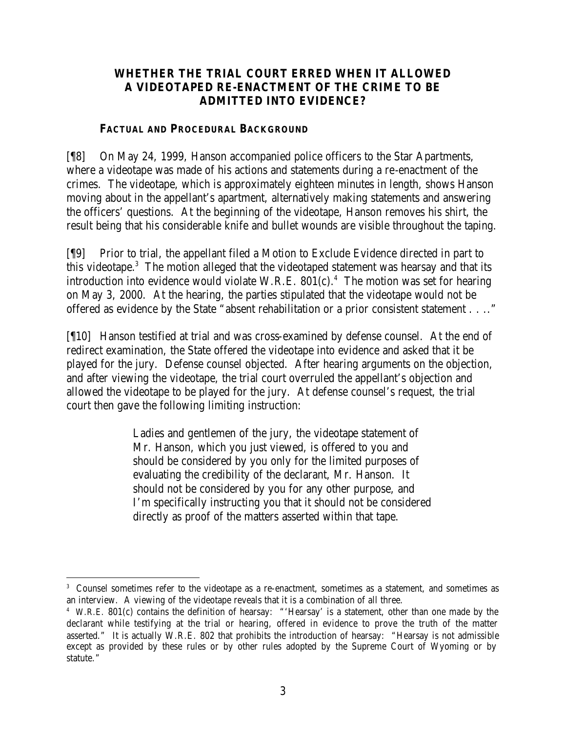# **WHETHER THE TRIAL COURT ERRED WHEN IT ALLOWED A VIDEOTAPED RE-ENACTMENT OF THE CRIME TO BE ADMITTED INTO EVIDENCE?**

### **FACTUAL AND PROCEDURAL BACKGROUND**

[¶8] On May 24, 1999, Hanson accompanied police officers to the Star Apartments, where a videotape was made of his actions and statements during a re-enactment of the crimes. The videotape, which is approximately eighteen minutes in length, shows Hanson moving about in the appellant's apartment, alternatively making statements and answering the officers' questions. At the beginning of the videotape, Hanson removes his shirt, the result being that his considerable knife and bullet wounds are visible throughout the taping.

[¶9] Prior to trial, the appellant filed a Motion to Exclude Evidence directed in part to this videotape.<sup>3</sup> The motion alleged that the videotaped statement was hearsay and that its introduction into evidence would violate W.R.E.  $801(c)$ .<sup>4</sup> The motion was set for hearing on May 3, 2000. At the hearing, the parties stipulated that the videotape would not be offered as evidence by the State "absent rehabilitation or a prior consistent statement . . .."

[¶10] Hanson testified at trial and was cross-examined by defense counsel. At the end of redirect examination, the State offered the videotape into evidence and asked that it be played for the jury. Defense counsel objected. After hearing arguments on the objection, and after viewing the videotape, the trial court overruled the appellant's objection and allowed the videotape to be played for the jury. At defense counsel's request, the trial court then gave the following limiting instruction:

> Ladies and gentlemen of the jury, the videotape statement of Mr. Hanson, which you just viewed, is offered to you and should be considered by you only for the limited purposes of evaluating the credibility of the declarant, Mr. Hanson. It should not be considered by you for any other purpose, and I'm specifically instructing you that it should not be considered directly as proof of the matters asserted within that tape.

<sup>3</sup> Counsel sometimes refer to the videotape as a re-enactment, sometimes as a statement, and sometimes as an interview. A viewing of the videotape reveals that it is a combination of all three.

<sup>4</sup> W.R.E. 801(c) contains the definition of hearsay: "'Hearsay' is a statement, other than one made by the declarant while testifying at the trial or hearing, offered in evidence to prove the truth of the matter asserted." It is actually W.R.E. 802 that prohibits the introduction of hearsay: "Hearsay is not admissible except as provided by these rules or by other rules adopted by the Supreme Court of Wyoming or by statute."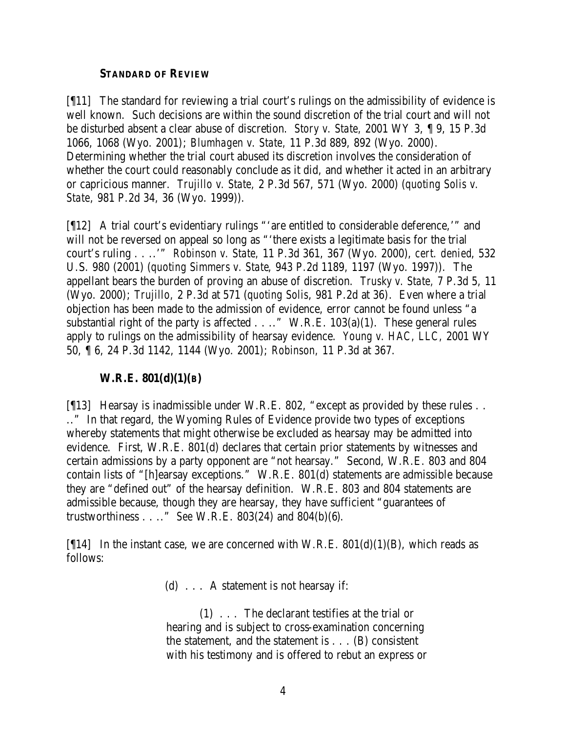### **STANDARD OF REVIEW**

[¶11] The standard for reviewing a trial court's rulings on the admissibility of evidence is well known. Such decisions are within the sound discretion of the trial court and will not be disturbed absent a clear abuse of discretion. *Story v. State,* 2001 WY 3, ¶ 9, 15 P.3d 1066, 1068 (Wyo. 2001); *Blumhagen v. State,* 11 P.3d 889, 892 (Wyo. 2000). Determining whether the trial court abused its discretion involves the consideration of whether the court could reasonably conclude as it did, and whether it acted in an arbitrary or capricious manner. *Trujillo v. State,* 2 P.3d 567, 571 (Wyo. 2000) (*quoting Solis v. State*, 981 P.2d 34, 36 (Wyo. 1999)).

[ $[12]$  A trial court's evidentiary rulings "'are entitled to considerable deference,'" and will not be reversed on appeal so long as "there exists a legitimate basis for the trial court's ruling . . ..'" *Robinson v. State,* 11 P.3d 361, 367 (Wyo. 2000), *cert. denied*, 532 U.S. 980 (2001) (*quoting Simmers v. State*, 943 P.2d 1189, 1197 (Wyo. 1997)). The appellant bears the burden of proving an abuse of discretion. *Trusky v. State,* 7 P.3d 5, 11 (Wyo. 2000); *Trujillo,* 2 P.3d at 571 (*quoting Solis*, 981 P.2d at 36). Even where a trial objection has been made to the admission of evidence, error cannot be found unless "a substantial right of the party is affected  $\dots$ ." W.R.E. 103(a)(1). These general rules apply to rulings on the admissibility of hearsay evidence. *Young v. HAC, LLC,* 2001 WY 50, ¶ 6, 24 P.3d 1142, 1144 (Wyo. 2001); *Robinson,* 11 P.3d at 367.

### **W.R.E. 801(d)(1)(B)**

[13] Hearsay is inadmissible under W.R.E. 802, "except as provided by these rules . . .." In that regard, the Wyoming Rules of Evidence provide two types of exceptions whereby statements that might otherwise be excluded as hearsay may be admitted into evidence. First, W.R.E. 801(d) declares that certain prior statements by witnesses and certain admissions by a party opponent are "not hearsay." Second, W.R.E. 803 and 804 contain lists of "[h]earsay exceptions." W.R.E. 801(d) statements are admissible because they are "defined out" of the hearsay definition. W.R.E. 803 and 804 statements are admissible because, though they are hearsay, they have sufficient "guarantees of trustworthiness . . .." *See* W.R.E. 803(24) and 804(b)(6).

[ $[14]$  In the instant case, we are concerned with W.R.E. 801(d)(1)(B), which reads as follows:

(d) . . . A statement is not hearsay if:

(1) . . . The declarant testifies at the trial or hearing and is subject to cross-examination concerning the statement, and the statement is . . . (B) consistent with his testimony and is offered to rebut an express or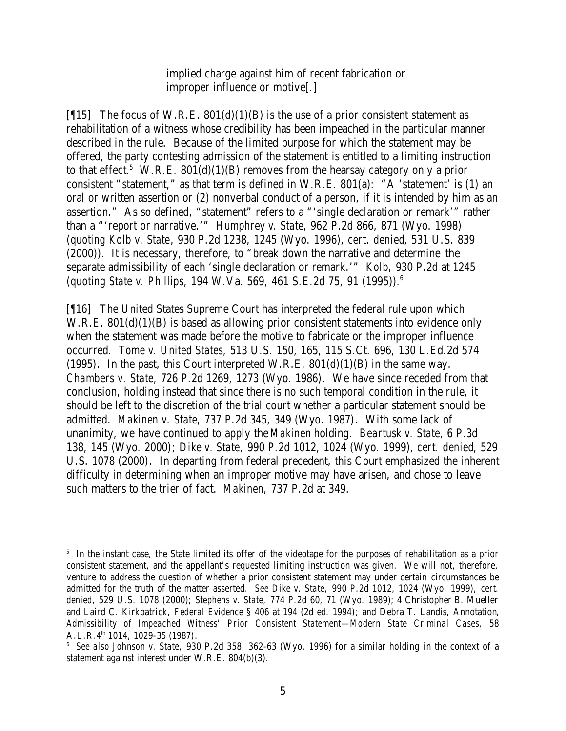implied charge against him of recent fabrication or improper influence or motive[.]

[ $[15]$  The focus of W.R.E. 801(d)(1)(B) is the use of a prior consistent statement as rehabilitation of a witness whose credibility has been impeached in the particular manner described in the rule. Because of the limited purpose for which the statement may be offered, the party contesting admission of the statement is entitled to a limiting instruction to that effect.<sup>5</sup> W.R.E.  $801(d)(1)(B)$  removes from the hearsay category only a prior consistent "statement," as that term is defined in W.R.E. 801(a): "A 'statement' is (1) an oral or written assertion or (2) nonverbal conduct of a person, if it is intended by him as an assertion." As so defined, "statement" refers to a "'single declaration or remark'" rather than a "'report or narrative.'" *Humphrey v. State,* 962 P.2d 866, 871 (Wyo. 1998) (*quoting Kolb v. State*, 930 P.2d 1238, 1245 (Wyo. 1996), *cert. denied*, 531 U.S. 839 (2000)). It is necessary, therefore, to "break down the narrative and determine the separate admissibility of each 'single declaration or remark.'" *Kolb,* 930 P.2d at 1245 (*quoting State v. Phillips*, 194 W.Va. 569, 461 S.E.2d 75, 91 (1995)). 6

[¶16] The United States Supreme Court has interpreted the federal rule upon which W.R.E. 801(d)(1)(B) is based as allowing prior consistent statements into evidence only when the statement was made before the motive to fabricate or the improper influence occurred. *Tome v. United States,* 513 U.S. 150, 165, 115 S.Ct. 696, 130 L.Ed.2d 574 (1995). In the past, this Court interpreted W.R.E.  $801(d)(1)(B)$  in the same way. *Chambers v. State,* 726 P.2d 1269, 1273 (Wyo. 1986). We have since receded from that conclusion, holding instead that since there is no such temporal condition in the rule, it should be left to the discretion of the trial court whether a particular statement should be admitted. *Makinen v. State,* 737 P.2d 345, 349 (Wyo. 1987). With some lack of unanimity, we have continued to apply the *Makinen* holding. *Beartusk v. State,* 6 P.3d 138, 145 (Wyo. 2000); *Dike v. State,* 990 P.2d 1012, 1024 (Wyo. 1999), *cert. denied*, 529 U.S. 1078 (2000). In departing from federal precedent, this Court emphasized the inherent difficulty in determining when an improper motive may have arisen, and chose to leave such matters to the trier of fact. *Makinen,* 737 P.2d at 349.

 <sup>5</sup> In the instant case, the State limited its offer of the videotape for the purposes of rehabilitation as a prior consistent statement, and the appellant's requested limiting instruction was given. We will not, therefore, venture to address the question of whether a prior consistent statement may under certain circumstances be admitted for the truth of the matter asserted. *See Dike v. State,* 990 P.2d 1012, 1024 (Wyo. 1999), *cert. denied*, 529 U.S. 1078 (2000); *Stephens v. State,* 774 P.2d 60, 71 (Wyo. 1989); 4 Christopher B. Mueller and Laird C. Kirkpatrick, *Federal Evidence* § 406 at 194 (2d ed. 1994); and Debra T. Landis, Annotation, *Admissibility of Impeached Witness' Prior Consistent Statement—Modern State Criminal Cases,* 58 A.L.R.4th 1014, 1029-35 (1987).

<sup>6</sup> *See also Johnson v. State,* 930 P.2d 358, 362-63 (Wyo. 1996) for a similar holding in the context of a statement against interest under W.R.E. 804(b)(3).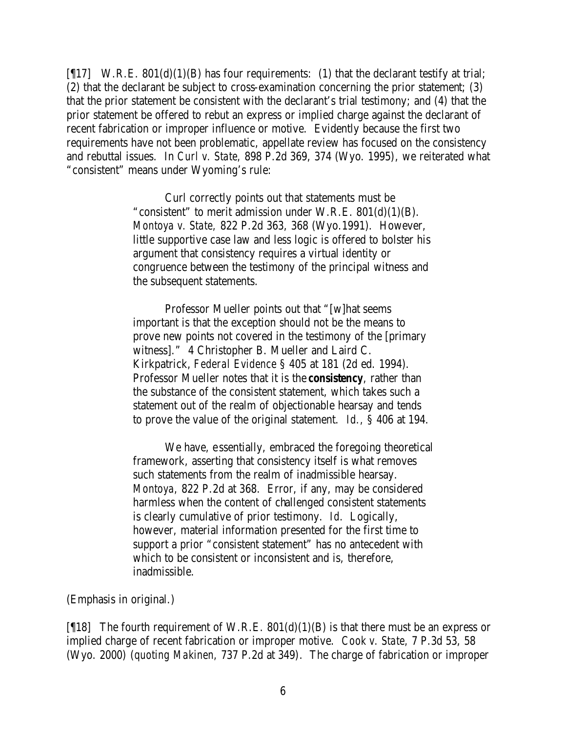[ $[17]$  W.R.E. 801(d)(1)(B) has four requirements: (1) that the declarant testify at trial; (2) that the declarant be subject to cross-examination concerning the prior statement; (3) that the prior statement be consistent with the declarant's trial testimony; and (4) that the prior statement be offered to rebut an express or implied charge against the declarant of recent fabrication or improper influence or motive. Evidently because the first two requirements have not been problematic, appellate review has focused on the consistency and rebuttal issues. In *Curl v. State,* 898 P.2d 369, 374 (Wyo. 1995), we reiterated what "consistent" means under Wyoming's rule:

> Curl correctly points out that statements must be "consistent" to merit admission under W.R.E.  $801(d)(1)(B)$ . *Montoya v. State,* 822 P.2d 363, 368 (Wyo.1991). However, little supportive case law and less logic is offered to bolster his argument that consistency requires a virtual identity or congruence between the testimony of the principal witness and the subsequent statements.

> Professor Mueller points out that "[w]hat seems important is that the exception should not be the means to prove new points not covered in the testimony of the [primary witness]." 4 Christopher B. Mueller and Laird C. Kirkpatrick, *Federal Evidence* § 405 at 181 (2d ed. 1994). Professor Mueller notes that it is the *consistency*, rather than the substance of the consistent statement, which takes such a statement out of the realm of objectionable hearsay and tends to prove the value of the original statement. *Id.,* § 406 at 194.

We have, essentially, embraced the foregoing theoretical framework, asserting that consistency itself is what removes such statements from the realm of inadmissible hearsay. *Montoya,* 822 P.2d at 368. Error, if any, may be considered harmless when the content of challenged consistent statements is clearly cumulative of prior testimony. *Id.* Logically, however, material information presented for the first time to support a prior "consistent statement" has no antecedent with which to be consistent or inconsistent and is, therefore, inadmissible.

#### (Emphasis in original.)

[ $[18]$  The fourth requirement of W.R.E.  $801(d)(1)(B)$  is that there must be an express or implied charge of recent fabrication or improper motive. *Cook v. State,* 7 P.3d 53, 58 (Wyo. 2000) (*quoting Makinen,* 737 P.2d at 349). The charge of fabrication or improper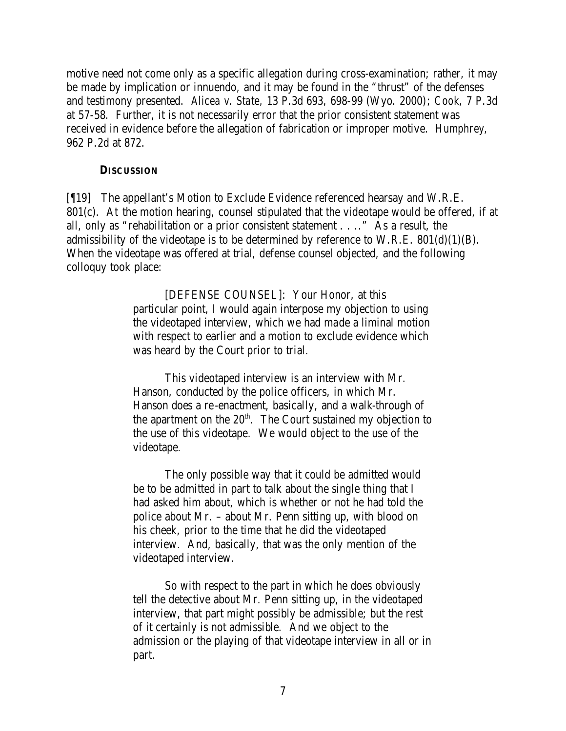motive need not come only as a specific allegation during cross-examination; rather, it may be made by implication or innuendo, and it may be found in the "thrust" of the defenses and testimony presented. *Alicea v. State,* 13 P.3d 693, 698-99 (Wyo. 2000); *Cook,* 7 P.3d at 57-58. Further, it is not necessarily error that the prior consistent statement was received in evidence before the allegation of fabrication or improper motive. *Humphrey,*  962 P.2d at 872.

#### **DISCUSSION**

[¶19] The appellant's Motion to Exclude Evidence referenced hearsay and W.R.E. 801(c). At the motion hearing, counsel stipulated that the videotape would be offered, if at all, only as "rehabilitation or a prior consistent statement . . .." As a result, the admissibility of the videotape is to be determined by reference to W.R.E.  $801(d)(1)(B)$ . When the videotape was offered at trial, defense counsel objected, and the following colloquy took place:

> [DEFENSE COUNSEL]: Your Honor, at this particular point, I would again interpose my objection to using the videotaped interview, which we had made a liminal motion with respect to earlier and a motion to exclude evidence which was heard by the Court prior to trial.

This videotaped interview is an interview with Mr. Hanson, conducted by the police officers, in which Mr. Hanson does a re-enactment, basically, and a walk-through of the apartment on the  $20<sup>th</sup>$ . The Court sustained my objection to the use of this videotape. We would object to the use of the videotape.

The only possible way that it could be admitted would be to be admitted in part to talk about the single thing that I had asked him about, which is whether or not he had told the police about Mr. – about Mr. Penn sitting up, with blood on his cheek, prior to the time that he did the videotaped interview. And, basically, that was the only mention of the videotaped interview.

So with respect to the part in which he does obviously tell the detective about Mr. Penn sitting up, in the videotaped interview, that part might possibly be admissible; but the rest of it certainly is not admissible. And we object to the admission or the playing of that videotape interview in all or in part.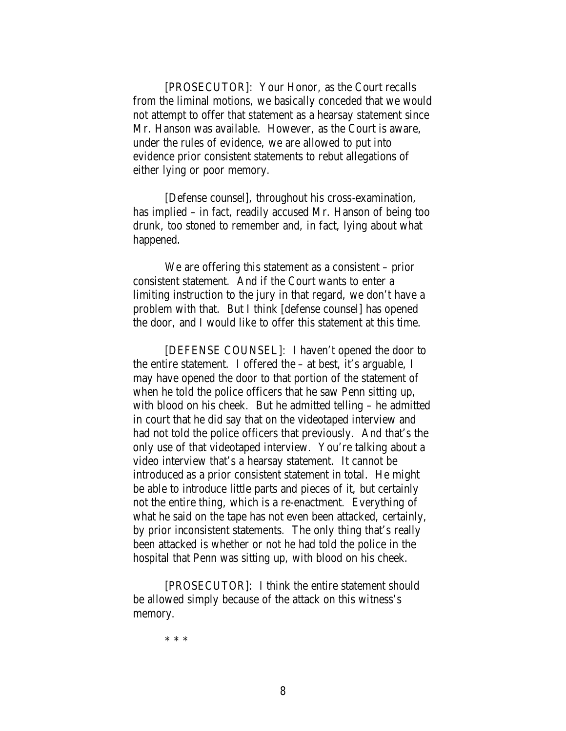[PROSECUTOR]: Your Honor, as the Court recalls from the liminal motions, we basically conceded that we would not attempt to offer that statement as a hearsay statement since Mr. Hanson was available. However, as the Court is aware, under the rules of evidence, we are allowed to put into evidence prior consistent statements to rebut allegations of either lying or poor memory.

[Defense counsel], throughout his cross-examination, has implied – in fact, readily accused Mr. Hanson of being too drunk, too stoned to remember and, in fact, lying about what happened.

We are offering this statement as a consistent – prior consistent statement. And if the Court wants to enter a limiting instruction to the jury in that regard, we don't have a problem with that. But I think [defense counsel] has opened the door, and I would like to offer this statement at this time.

[DEFENSE COUNSEL]: I haven't opened the door to the entire statement. I offered the – at best, it's arguable, I may have opened the door to that portion of the statement of when he told the police officers that he saw Penn sitting up, with blood on his cheek. But he admitted telling – he admitted in court that he did say that on the videotaped interview and had not told the police officers that previously. And that's the only use of that videotaped interview. You're talking about a video interview that's a hearsay statement. It cannot be introduced as a prior consistent statement in total. He might be able to introduce little parts and pieces of it, but certainly not the entire thing, which is a re-enactment. Everything of what he said on the tape has not even been attacked, certainly, by prior inconsistent statements. The only thing that's really been attacked is whether or not he had told the police in the hospital that Penn was sitting up, with blood on his cheek.

[PROSECUTOR]: I think the entire statement should be allowed simply because of the attack on this witness's memory.

\* \* \*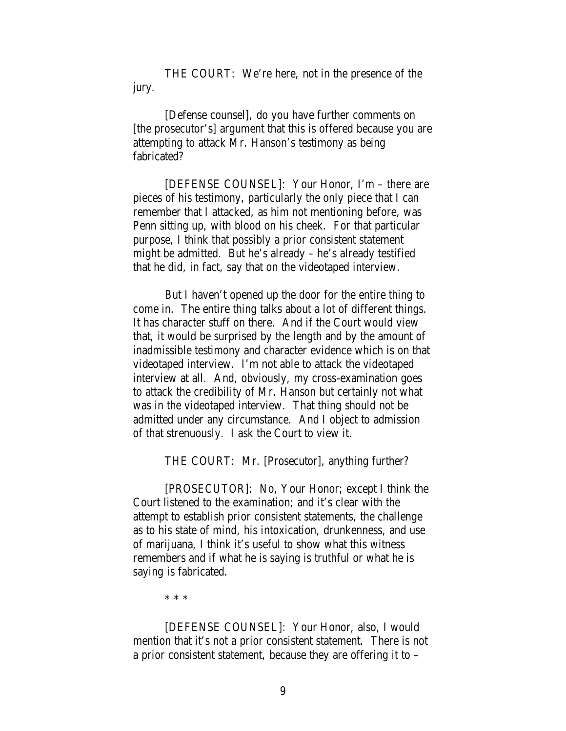THE COURT: We're here, not in the presence of the jury.

[Defense counsel], do you have further comments on [the prosecutor's] argument that this is offered because you are attempting to attack Mr. Hanson's testimony as being fabricated?

[DEFENSE COUNSEL]: Your Honor, I'm – there are pieces of his testimony, particularly the only piece that I can remember that I attacked, as him not mentioning before, was Penn sitting up, with blood on his cheek. For that particular purpose, I think that possibly a prior consistent statement might be admitted. But he's already – he's already testified that he did, in fact, say that on the videotaped interview.

But I haven't opened up the door for the entire thing to come in. The entire thing talks about a lot of different things. It has character stuff on there. And if the Court would view that, it would be surprised by the length and by the amount of inadmissible testimony and character evidence which is on that videotaped interview. I'm not able to attack the videotaped interview at all. And, obviously, my cross-examination goes to attack the credibility of Mr. Hanson but certainly not what was in the videotaped interview. That thing should not be admitted under any circumstance. And I object to admission of that strenuously. I ask the Court to view it.

THE COURT: Mr. [Prosecutor], anything further?

[PROSECUTOR]: No, Your Honor; except I think the Court listened to the examination; and it's clear with the attempt to establish prior consistent statements, the challenge as to his state of mind, his intoxication, drunkenness, and use of marijuana, I think it's useful to show what this witness remembers and if what he is saying is truthful or what he is saying is fabricated.

\* \* \*

[DEFENSE COUNSEL]: Your Honor, also, I would mention that it's not a prior consistent statement. There is not a prior consistent statement, because they are offering it to –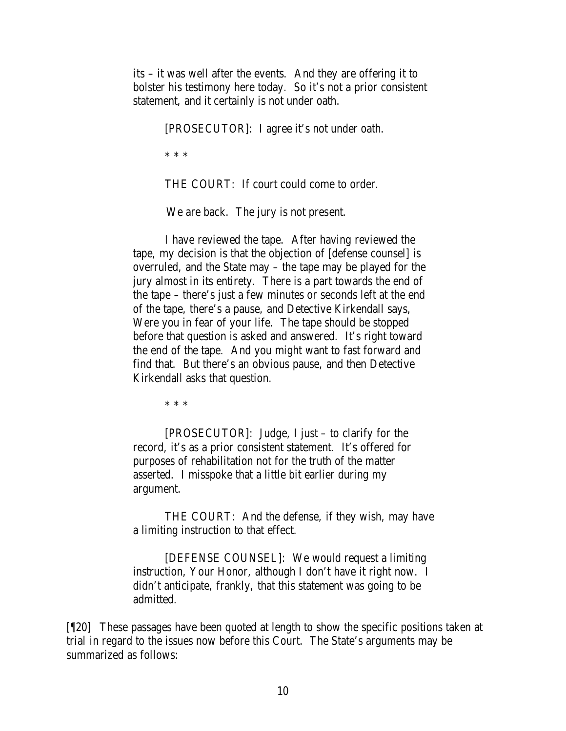its – it was well after the events. And they are offering it to bolster his testimony here today. So it's not a prior consistent statement, and it certainly is not under oath.

[PROSECUTOR]: I agree it's not under oath.

\* \* \*

THE COURT: If court could come to order.

We are back. The jury is not present.

I have reviewed the tape. After having reviewed the tape, my decision is that the objection of [defense counsel] is overruled, and the State may – the tape may be played for the jury almost in its entirety. There is a part towards the end of the tape – there's just a few minutes or seconds left at the end of the tape, there's a pause, and Detective Kirkendall says, Were you in fear of your life. The tape should be stopped before that question is asked and answered. It's right toward the end of the tape. And you might want to fast forward and find that. But there's an obvious pause, and then Detective Kirkendall asks that question.

\* \* \*

[PROSECUTOR]: Judge, I just – to clarify for the record, it's as a prior consistent statement. It's offered for purposes of rehabilitation not for the truth of the matter asserted. I misspoke that a little bit earlier during my argument.

THE COURT: And the defense, if they wish, may have a limiting instruction to that effect.

[DEFENSE COUNSEL]: We would request a limiting instruction, Your Honor, although I don't have it right now. I didn't anticipate, frankly, that this statement was going to be admitted.

[¶20] These passages have been quoted at length to show the specific positions taken at trial in regard to the issues now before this Court. The State's arguments may be summarized as follows: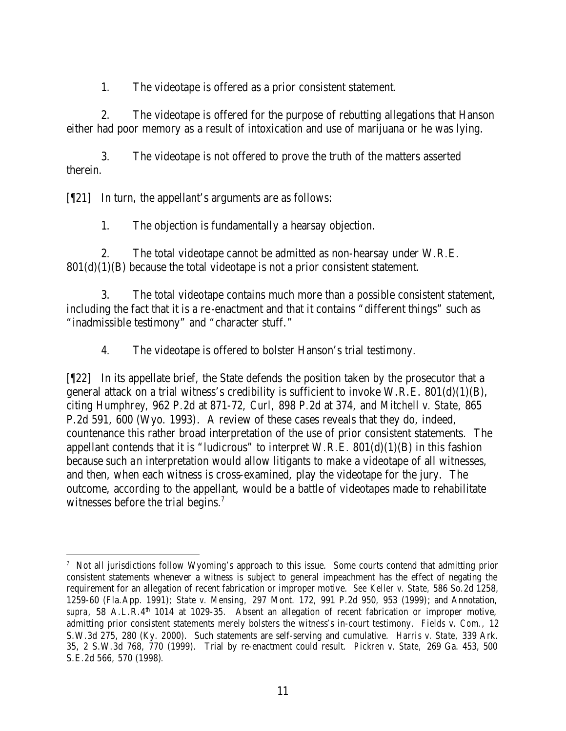1. The videotape is offered as a prior consistent statement.

2. The videotape is offered for the purpose of rebutting allegations that Hanson either had poor memory as a result of intoxication and use of marijuana or he was lying.

3. The videotape is not offered to prove the truth of the matters asserted therein.

[¶21] In turn, the appellant's arguments are as follows:

1. The objection is fundamentally a hearsay objection.

2. The total videotape cannot be admitted as non-hearsay under W.R.E.  $801(d)(1)(B)$  because the total videotape is not a prior consistent statement.

3. The total videotape contains much more than a possible consistent statement, including the fact that it is a re -enactment and that it contains "different things" such as "inadmissible testimony" and "character stuff."

4. The videotape is offered to bolster Hanson's trial testimony.

[¶22] In its appellate brief, the State defends the position taken by the prosecutor that a general attack on a trial witness's credibility is sufficient to invoke W.R.E.  $801(d)(1)(B)$ , citing *Humphrey,* 962 P.2d at 871-72, *Curl,* 898 P.2d at 374, and *Mitchell v. State,* 865 P.2d 591, 600 (Wyo. 1993). A review of these cases reveals that they do, indeed, countenance this rather broad interpretation of the use of prior consistent statements. The appellant contends that it is "ludicrous" to interpret W.R.E.  $801(d)(1)(B)$  in this fashion because such an interpretation would allow litigants to make a videotape of all witnesses, and then, when each witness is cross-examined, play the videotape for the jury. The outcome, according to the appellant, would be a battle of videotapes made to rehabilitate witnesses before the trial begins.<sup>7</sup>

<sup>7</sup> Not all jurisdictions follow Wyoming's approach to this issue. Some courts contend that admitting prior consistent statements whenever a witness is subject to general impeachment has the effect of negating the requirement for an allegation of recent fabrication or improper motive. *See Keller v. State,* 586 So.2d 1258, 1259-60 (Fla.App. 1991); *State v. Mensing,* 297 Mont. 172, 991 P.2d 950, 953 (1999); and Annotation, supra, 58 A.L.R.4<sup>th</sup> 1014 at 1029-35. Absent an allegation of recent fabrication or improper motive, admitting prior consistent statements merely bolsters the witness's in-court testimony. *Fields v. Com.,* 12 S.W.3d 275, 280 (Ky. 2000). Such statements are self-serving and cumulative. *Harris v. State,* 339 Ark. 35, 2 S.W.3d 768, 770 (1999). Trial by re-enactment could result. *Pickren v. State,* 269 Ga. 453, 500 S.E.2d 566, 570 (1998).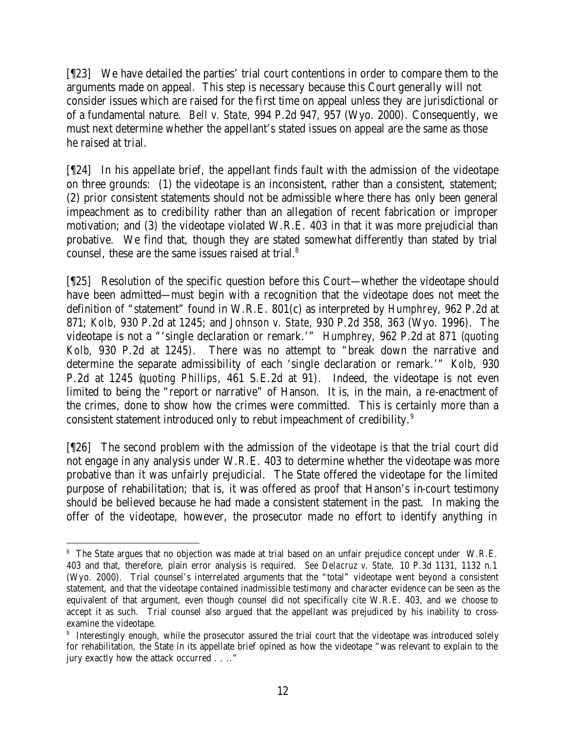[¶23] We have detailed the parties' trial court contentions in order to compare them to the arguments made on appeal. This step is necessary because this Court generally will not consider issues which are raised for the first time on appeal unless they are jurisdictional or of a fundamental nature. *Bell v. State,* 994 P.2d 947, 957 (Wyo. 2000)*.* Consequently, we must next determine whether the appellant's stated issues on appeal are the same as those he raised at trial.

[¶24] In his appellate brief, the appellant finds fault with the admission of the videotape on three grounds: (1) the videotape is an inconsistent, rather than a consistent, statement; (2) prior consistent statements should not be admissible where there has only been general impeachment as to credibility rather than an allegation of recent fabrication or improper motivation; and (3) the videotape violated W.R.E. 403 in that it was more prejudicial than probative. We find that, though they are stated somewhat differently than stated by trial counsel, these are the same issues raised at trial.<sup>8</sup>

[¶25] Resolution of the specific question before this Court—whether the videotape should have been admitted—must begin with a recognition that the videotape does not meet the definition of "statement" found in W.R.E. 801(c) as interpreted by *Humphrey,* 962 P.2d at 871; *Kolb,* 930 P.2d at 1245; and *Johnson v. State*, 930 P.2d 358, 363 (Wyo. 1996)*.* The videotape is not a "'single declaration or remark.'" *Humphrey,* 962 P.2d at 871 (*quoting Kolb*, 930 P.2d at 1245). There was no attempt to "break down the narrative and determine the separate admissibility of each 'single declaration or remark.'" *Kolb,* 930 P.2d at 1245 (*quoting Phillips*, 461 S.E.2d at 91). Indeed, the videotape is not even limited to being the "report or narrative" of Hanson. It is, in the main, a re-enactment of the crimes, done to show how the crimes were committed. This is certainly more than a consistent statement introduced only to rebut impeachment of credibility.<sup>9</sup>

[¶26] The second problem with the admission of the videotape is that the trial court did not engage in any analysis under W.R.E. 403 to determine whether the videotape was more probative than it was unfairly prejudicial. The State offered the videotape for the limited purpose of rehabilitation; that is, it was offered as proof that Hanson's in-court testimony should be believed because he had made a consistent statement in the past. In making the offer of the videotape, however, the prosecutor made no effort to identify anything in

<sup>&</sup>lt;sup>8</sup> The State argues that no objection was made at trial based on an unfair prejudice concept under W.R.E. 403 and that, therefore, plain error analysis is required. *See Delacruz v. State,* 10 P.3d 1131, 1132 n.1 (Wyo. 2000). Trial counsel's interrelated arguments that the "total" videotape went beyond a consistent statement, and that the videotape contained inadmissible testimony and character evidence can be seen as the equivalent of that argument, even though counsel did not specifically cite W.R.E. 403, and we choose to accept it as such. Trial counsel also argued that the appellant was prejudiced by his inability to crossexamine the videotape.

<sup>9</sup> Interestingly enough, while the prosecutor assured the trial court that the videotape was introduced solely for rehabilitation, the State in its appellate brief opined as how the videotape "was relevant to explain to the jury exactly how the attack occurred . . .."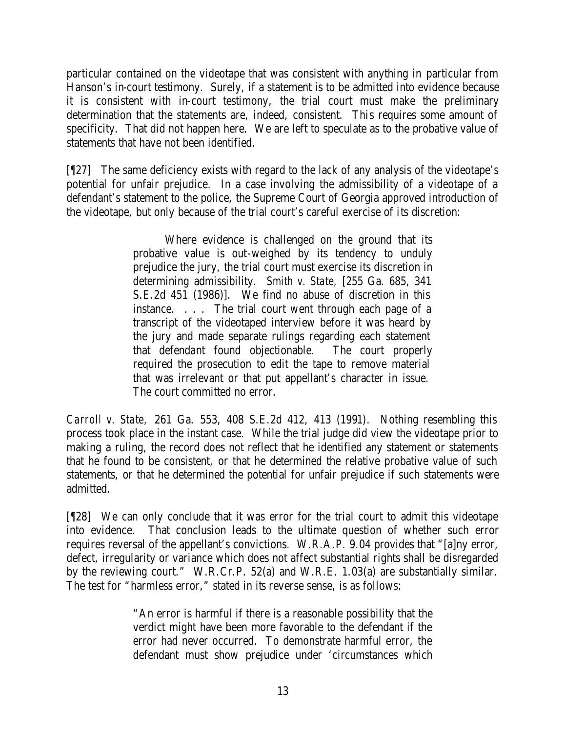particular contained on the videotape that was consistent with anything in particular from Hanson's in-court testimony. Surely, if a statement is to be admitted into evidence because it is consistent with in-court testimony, the trial court must make the preliminary determination that the statements are, indeed, consistent. This requires some amount of specificity. That did not happen here. We are left to speculate as to the probative value of statements that have not been identified.

[¶27] The same deficiency exists with regard to the lack of any analysis of the videotape's potential for unfair prejudice. In a case involving the admissibility of a videotape of a defendant's statement to the police, the Supreme Court of Georgia approved introduction of the videotape, but only because of the trial court's careful exercise of its discretion:

> Where evidence is challenged on the ground that its probative value is out-weighed by its tendency to unduly prejudice the jury, the trial court must exercise its discretion in determining admissibility. *Smith v. State,* [255 Ga. 685, 341 S.E.2d 451 (1986)]. We find no abuse of discretion in this instance. . . . The trial court went through each page of a transcript of the videotaped interview before it was heard by the jury and made separate rulings regarding each statement that defendant found objectionable. The court properly required the prosecution to edit the tape to remove material that was irrelevant or that put appellant's character in issue. The court committed no error.

*Carroll v. State,* 261 Ga. 553, 408 S.E.2d 412, 413 (1991). Nothing resembling this process took place in the instant case. While the trial judge did view the videotape prior to making a ruling, the record does not reflect that he identified any statement or statements that he found to be consistent, or that he determined the relative probative value of such statements, or that he determined the potential for unfair prejudice if such statements were admitted.

[¶28] We can only conclude that it was error for the trial court to admit this videotape into evidence. That conclusion leads to the ultimate question of whether such error requires reversal of the appellant's convictions. W.R.A.P. 9.04 provides that "[a]ny error, defect, irregularity or variance which does not affect substantial rights shall be disregarded by the reviewing court." W.R.Cr.P. 52(a) and W.R.E. 1.03(a) are substantially similar. The test for "harmless error," stated in its reverse sense, is as follows:

> "An error is harmful if there is a reasonable possibility that the verdict might have been more favorable to the defendant if the error had never occurred. To demonstrate harmful error, the defendant must show prejudice under 'circumstances which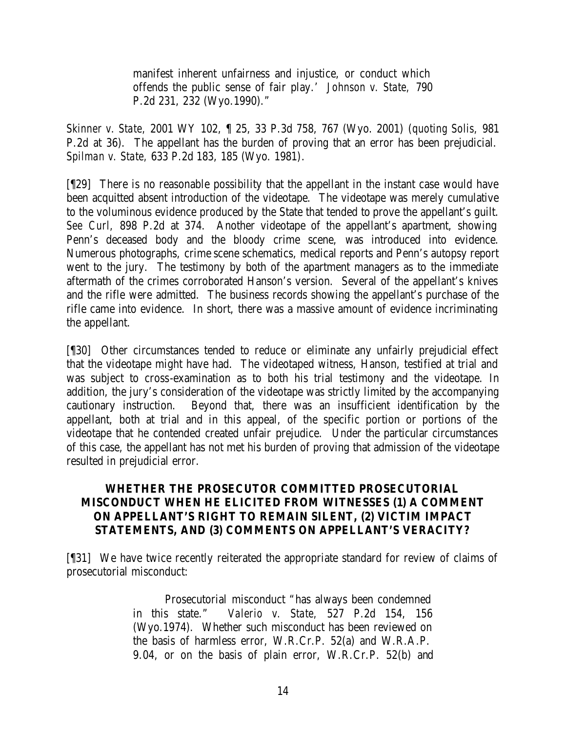manifest inherent unfairness and injustice, or conduct which offends the public sense of fair play.' *Johnson v. State,* 790 P.2d 231, 232 (Wyo.1990)."

*Skinner v. State,* 2001 WY 102, ¶ 25, 33 P.3d 758, 767 (Wyo. 2001) (*quoting Solis,* 981 P.2d at 36). The appellant has the burden of proving that an error has been prejudicial. *Spilman v. State,* 633 P.2d 183, 185 (Wyo. 1981).

[¶29] There is no reasonable possibility that the appellant in the instant case would have been acquitted absent introduction of the videotape. The videotape was merely cumulative to the voluminous evidence produced by the State that tended to prove the appellant's guilt. *See Curl,* 898 P.2d at 374. Another videotape of the appellant's apartment, showing Penn's deceased body and the bloody crime scene, was introduced into evidence. Numerous photographs, crime scene schematics, medical reports and Penn's autopsy report went to the jury. The testimony by both of the apartment managers as to the immediate aftermath of the crimes corroborated Hanson's version. Several of the appellant's knives and the rifle were admitted. The business records showing the appellant's purchase of the rifle came into evidence. In short, there was a massive amount of evidence incriminating the appellant.

[¶30] Other circumstances tended to reduce or eliminate any unfairly prejudicial effect that the videotape might have had. The videotaped witness, Hanson, testified at trial and was subject to cross-examination as to both his trial testimony and the videotape. In addition, the jury's consideration of the videotape was strictly limited by the accompanying cautionary instruction. Beyond that, there was an insufficient identification by the appellant, both at trial and in this appeal, of the specific portion or portions of the videotape that he contended created unfair prejudice. Under the particular circumstances of this case, the appellant has not met his burden of proving that admission of the videotape resulted in prejudicial error.

## **WHETHER THE PROSECUTOR COMMITTED PROSECUTORIAL MISCONDUCT WHEN HE ELICITED FROM WITNESSES (1) A COMMENT ON APPELLANT'S RIGHT TO REMAIN SILENT, (2) VICTIM IMPACT STATEMENTS, AND (3) COMMENTS ON APPELLANT'S VERACITY?**

[¶31] We have twice recently reiterated the appropriate standard for review of claims of prosecutorial misconduct:

> Prosecutorial misconduct "has always been condemned in this state." *Valerio v. State,* 527 P.2d 154, 156 (Wyo.1974). Whether such misconduct has been reviewed on the basis of harmless error, W.R.Cr.P. 52(a) and W.R.A.P. 9.04, or on the basis of plain error, W.R.Cr.P. 52(b) and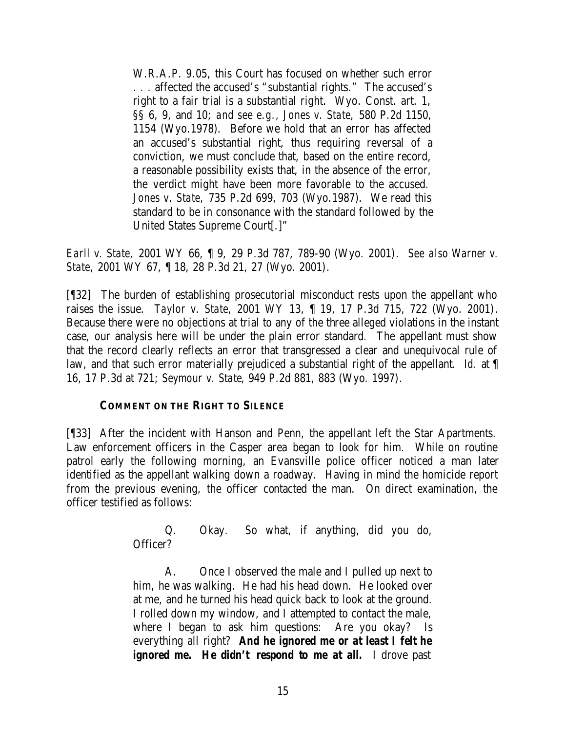W.R.A.P. 9.05, this Court has focused on whether such error . . . affected the accused's "substantial rights." The accused's right to a fair trial is a substantial right. Wyo. Const. art. 1, §§ 6, 9, and 10; *and see e.g., Jones v. State,* 580 P.2d 1150, 1154 (Wyo.1978). Before we hold that an error has affected an accused's substantial right, thus requiring reversal of a conviction, we must conclude that, based on the entire record, a reasonable possibility exists that, in the absence of the error, the verdict might have been more favorable to the accused. *Jones v. State,* 735 P.2d 699, 703 (Wyo.1987). We read this standard to be in consonance with the standard followed by the United States Supreme Court[.]"

*Earll v. State,* 2001 WY 66, ¶ 9, 29 P.3d 787, 789-90 (Wyo. 2001). *See also Warner v. State,* 2001 WY 67, ¶ 18, 28 P.3d 21, 27 (Wyo. 2001).

[¶32] The burden of establishing prosecutorial misconduct rests upon the appellant who raises the issue. *Taylor v. State,* 2001 WY 13, ¶ 19, 17 P.3d 715, 722 (Wyo. 2001). Because there were no objections at trial to any of the three alleged violations in the instant case, our analysis here will be under the plain error standard. The appellant must show that the record clearly reflects an error that transgressed a clear and unequivocal rule of law, and that such error materially prejudiced a substantial right of the appellant. *Id.* at ¶ 16, 17 P.3d at 721; *Seymour v. State*, 949 P.2d 881, 883 (Wyo. 1997).

## **COMMENT ON THE RIGHT TO SILENCE**

[¶33] After the incident with Hanson and Penn, the appellant left the Star Apartments. Law enforcement officers in the Casper area began to look for him. While on routine patrol early the following morning, an Evansville police officer noticed a man later identified as the appellant walking down a roadway. Having in mind the homicide report from the previous evening, the officer contacted the man. On direct examination, the officer testified as follows:

> Q. Okay. So what, if anything, did you do, Officer?

> A. Once I observed the male and I pulled up next to him, he was walking. He had his head down. He looked over at me, and he turned his head quick back to look at the ground. I rolled down my window, and I attempted to contact the male, where I began to ask him questions: Are you okay? Is everything all right? *And he ignored me or at least I felt he ignored me.* He didn't respond to me at all. I drove past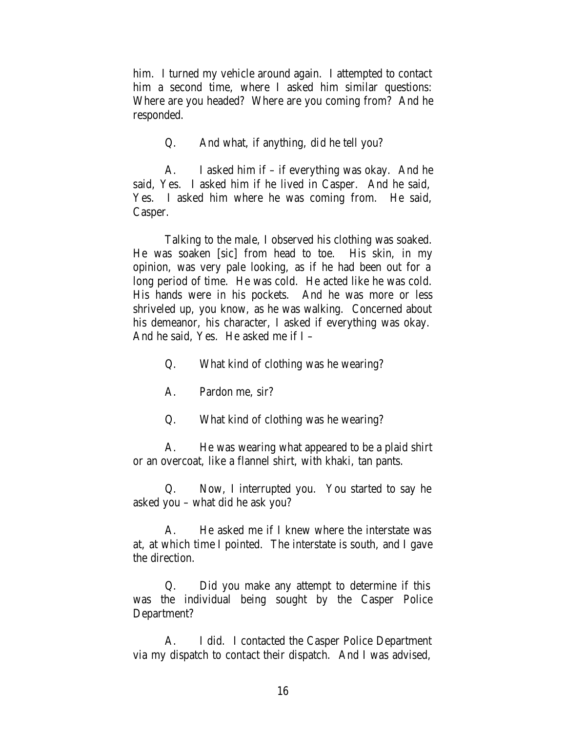him. I turned my vehicle around again. I attempted to contact him a second time, where I asked him similar questions: Where are you headed? Where are you coming from? And he responded.

Q. And what, if anything, did he tell you?

A. I asked him if – if everything was okay. And he said, Yes. I asked him if he lived in Casper. And he said, Yes. I asked him where he was coming from. He said, Casper.

Talking to the male, I observed his clothing was soaked. He was soaken [sic] from head to toe. His skin, in my opinion, was very pale looking, as if he had been out for a long period of time. He was cold. He acted like he was cold. His hands were in his pockets. And he was more or less shriveled up, you know, as he was walking. Concerned about his demeanor, his character, I asked if everything was okay. And he said, Yes. He asked me if I –

Q. What kind of clothing was he wearing?

A. Pardon me, sir?

Q. What kind of clothing was he wearing?

A. He was wearing what appeared to be a plaid shirt or an overcoat, like a flannel shirt, with khaki, tan pants.

Q. Now, I interrupted you. You started to say he asked you – what did he ask you?

A. He asked me if I knew where the interstate was at, at which time I pointed. The interstate is south, and I gave the direction.

Q. Did you make any attempt to determine if this was the individual being sought by the Casper Police Department?

A. I did. I contacted the Casper Police Department via my dispatch to contact their dispatch. And I was advised,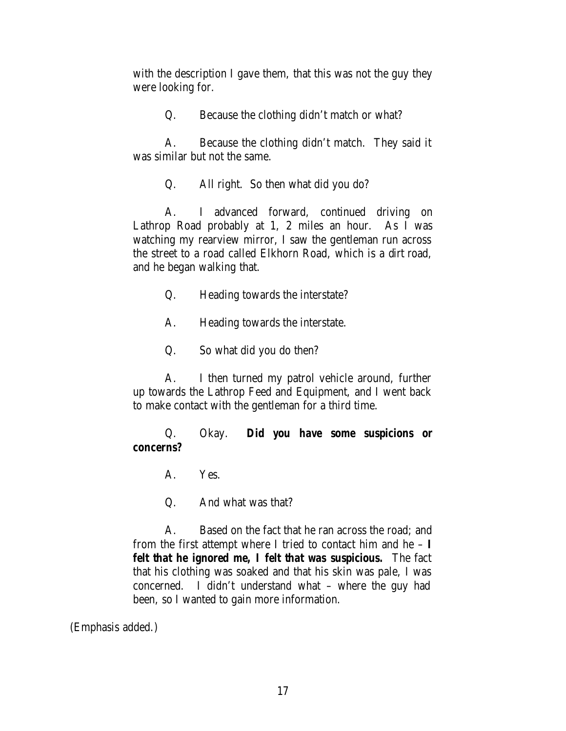with the description I gave them, that this was not the guy they were looking for.

Q. Because the clothing didn't match or what?

A. Because the clothing didn't match. They said it was similar but not the same.

Q. All right. So then what did you do?

A. I advanced forward, continued driving on Lathrop Road probably at 1, 2 miles an hour. As I was watching my rearview mirror, I saw the gentleman run across the street to a road called Elkhorn Road, which is a dirt road, and he began walking that.

- Q. Heading towards the interstate?
- A. Heading towards the interstate.
- Q. So what did you do then?

A. I then turned my patrol vehicle around, further up towards the Lathrop Feed and Equipment, and I went back to make contact with the gentleman for a third time.

## Q. Okay. *Did you have some suspicions or concerns?*

A. Yes.

Q. And what was that?

A. Based on the fact that he ran across the road; and from the first attempt where I tried to contact him and he – *I felt that he ignored me, I felt that was suspicious.* The fact that his clothing was soaked and that his skin was pale, I was concerned. I didn't understand what – where the guy had been, so I wanted to gain more information.

(Emphasis added.)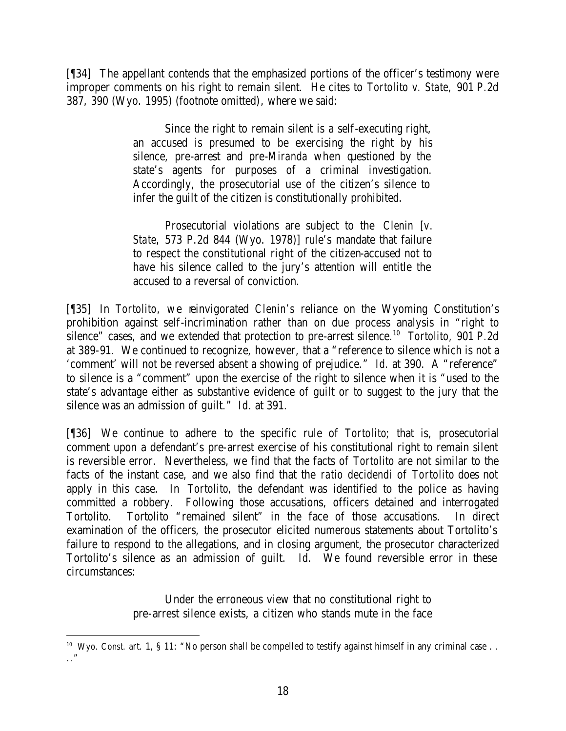[¶34] The appellant contends that the emphasized portions of the officer's testimony were improper comments on his right to remain silent. He cites to *Tortolito v. State,* 901 P.2d 387, 390 (Wyo. 1995) (footnote omitted), where we said:

> Since the right to remain silent is a self-executing right, an accused is presumed to be exercising the right by his silence, pre-arrest and pre-*Miranda* when questioned by the state's agents for purposes of a criminal investigation. Accordingly, the prosecutorial use of the citizen's silence to infer the guilt of the citizen is constitutionally prohibited.

> Prosecutorial violations are subject to the *Clenin [v. State,* 573 P.2d 844 (Wyo. 1978)] rule's mandate that failure to respect the constitutional right of the citizen-accused not to have his silence called to the jury's attention will entitle the accused to a reversal of conviction.

[¶35] In *Tortolito,* we reinvigorated *Clenin's* reliance on the Wyoming Constitution's prohibition against self-incrimination rather than on due process analysis in "right to silence" cases, and we extended that protection to pre-arrest silence.<sup>10</sup> Tortolito, 901 P.2d at 389-91. We continued to recognize, however, that a "reference to silence which is not a 'comment' will not be reversed absent a showing of prejudice." *Id.* at 390. A "reference" to silence is a "comment" upon the exercise of the right to silence when it is "used to the state's advantage either as substantive evidence of guilt or to suggest to the jury that the silence was an admission of guilt." *Id.* at 391.

[¶36] We continue to adhere to the specific rule of *Tortolito*; that is, prosecutorial comment upon a defendant's pre-arrest exercise of his constitutional right to remain silent is reversible error. Nevertheless, we find that the facts of *Tortolito* are not similar to the facts of the instant case, and we also find that the *ratio decidendi* of *Tortolito* does not apply in this case. In *Tortolito*, the defendant was identified to the police as having committed a robbery. Following those accusations, officers detained and interrogated Tortolito. Tortolito "remained silent" in the face of those accusations. In direct examination of the officers, the prosecutor elicited numerous statements about Tortolito's failure to respond to the allegations, and in closing argument, the prosecutor characterized Tortolito's silence as an admission of guilt. *Id.* We found reversible error in these circumstances:

> Under the erroneous view that no constitutional right to pre-arrest silence exists, a citizen who stands mute in the face

<sup>&</sup>lt;sup>10</sup> Wyo. Const. art. 1, § 11: "No person shall be compelled to testify against himself in any criminal case . . .."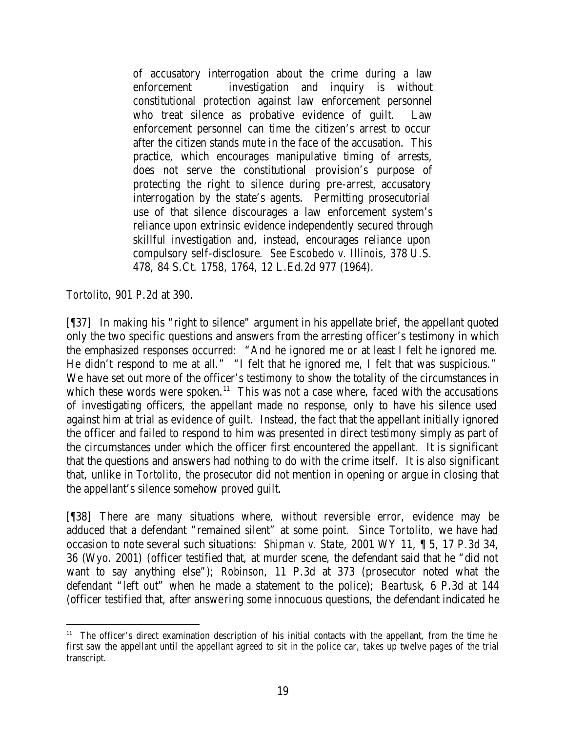of accusatory interrogation about the crime during a law enforcement investigation and inquiry is without constitutional protection against law enforcement personnel who treat silence as probative evidence of guilt. Law enforcement personnel can time the citizen's arrest to occur after the citizen stands mute in the face of the accusation. This practice, which encourages manipulative timing of arrests, does not serve the constitutional provision's purpose of protecting the right to silence during pre-arrest, accusatory interrogation by the state's agents. Permitting prosecutorial use of that silence discourages a law enforcement system's reliance upon extrinsic evidence independently secured through skillful investigation and, instead, encourages reliance upon compulsory self-disclosure. *See Escobedo v. Illinois,* 378 U.S. 478, 84 S.Ct. 1758, 1764, 12 L.Ed.2d 977 (1964).

*Tortolito*, 901 P.2d at 390.

[¶37] In making his "right to silence" argument in his appellate brief, the appellant quoted only the two specific questions and answers from the arresting officer's testimony in which the emphasized responses occurred: "And he ignored me or at least I felt he ignored me. He didn't respond to me at all." "I felt that he ignored me, I felt that was suspicious." We have set out more of the officer's testimony to show the totality of the circumstances in which these words were spoken.<sup>11</sup> This was not a case where, faced with the accusations of investigating officers, the appellant made no response, only to have his silence used against him at trial as evidence of guilt. Instead, the fact that the appellant initially ignored the officer and failed to respond to him was presented in direct testimony simply as part of the circumstances under which the officer first encountered the appellant. It is significant that the questions and answers had nothing to do with the crime itself. It is also significant that, unlike in *Tortolito,* the prosecutor did not mention in opening or argue in closing that the appellant's silence somehow proved guilt.

[¶38] There are many situations where, without reversible error, evidence may be adduced that a defendant "remained silent" at some point. Since *Tortolito,* we have had occasion to note several such situations: *Shipman v. State*, 2001 WY 11, ¶ 5, 17 P.3d 34, 36 (Wyo. 2001) (officer testified that, at murder scene, the defendant said that he "did not want to say anything else"); *Robinson*, 11 P.3d at 373 (prosecutor noted what the defendant "left out" when he made a statement to the police); *Beartusk*, 6 P.3d at 144 (officer testified that, after answe ring some innocuous questions, the defendant indicated he

 <sup>11</sup> The officer's direct examination description of his initial contacts with the appellant, from the time he first saw the appellant until the appellant agreed to sit in the police car, takes up twelve pages of the trial transcript.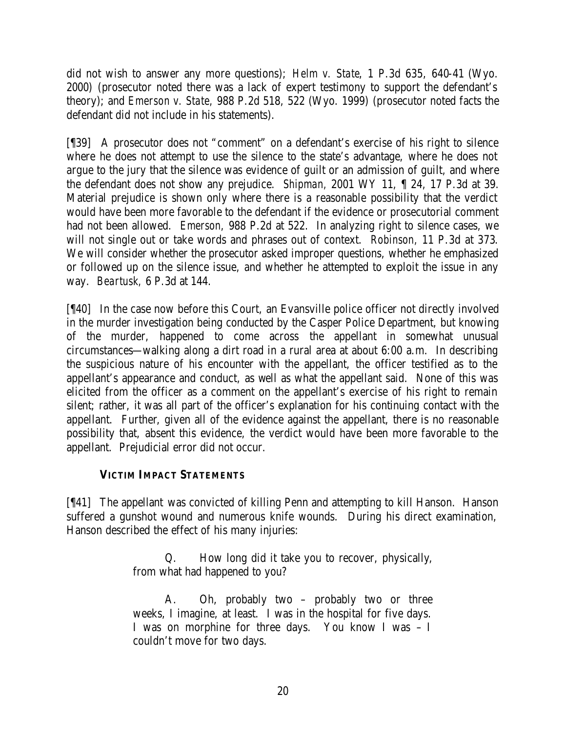did not wish to answer any more questions); *Helm v. State*, 1 P.3d 635, 640-41 (Wyo. 2000) (prosecutor noted there was a lack of expert testimony to support the defendant's theory); and *Emerson v. State,* 988 P.2d 518, 522 (Wyo. 1999) (prosecutor noted facts the defendant did not include in his statements).

[¶39] A prosecutor does not "comment" on a defendant's exercise of his right to silence where he does not attempt to use the silence to the state's advantage, where he does not argue to the jury that the silence was evidence of guilt or an admission of guilt, and where the defendant does not show any prejudice. *Shipman,* 2001 WY 11, ¶ 24, 17 P.3d at 39. Material prejudice is shown only where there is a reasonable possibility that the verdict would have been more favorable to the defendant if the evidence or prosecutorial comment had not been allowed. *Emerson,* 988 P.2d at 522. In analyzing right to silence cases, we will not single out or take words and phrases out of context. *Robinson,* 11 P.3d at 373. We will consider whether the prosecutor asked improper questions, whether he emphasized or followed up on the silence issue, and whether he attempted to exploit the issue in any way. *Beartusk,* 6 P.3d at 144.

[¶40] In the case now before this Court, an Evansville police officer not directly involved in the murder investigation being conducted by the Casper Police Department, but knowing of the murder, happened to come across the appellant in somewhat unusual circumstances—walking along a dirt road in a rural area at about 6:00 a.m. In describing the suspicious nature of his encounter with the appellant, the officer testified as to the appellant's appearance and conduct, as well as what the appellant said. None of this was elicited from the officer as a comment on the appellant's exercise of his right to remain silent; rather, it was all part of the officer's explanation for his continuing contact with the appellant. Further, given all of the evidence against the appellant, there is no reasonable possibility that, absent this evidence, the verdict would have been more favorable to the appellant. Prejudicial error did not occur.

# **VICTIM IMPACT STATEMENTS**

[¶41] The appellant was convicted of killing Penn and attempting to kill Hanson. Hanson suffered a gunshot wound and numerous knife wounds. During his direct examination, Hanson described the effect of his many injuries:

> Q. How long did it take you to recover, physically, from what had happened to you?

> A. Oh, probably two – probably two or three weeks, I imagine, at least. I was in the hospital for five days. I was on morphine for three days. You know I was – I couldn't move for two days.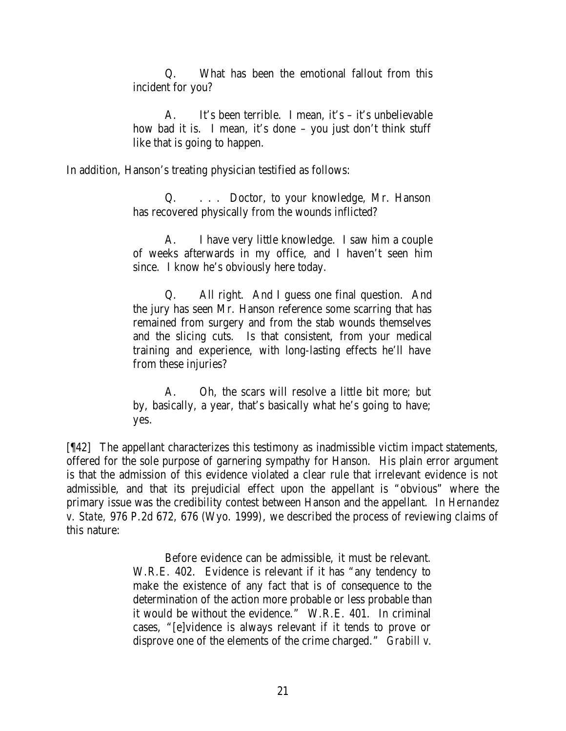Q. What has been the emotional fallout from this incident for you?

A. It's been terrible. I mean, it's – it's unbelievable how bad it is. I mean, it's done – you just don't think stuff like that is going to happen.

In addition, Hanson's treating physician testified as follows:

Q. . . . Doctor, to your knowledge, Mr. Hanson has recovered physically from the wounds inflicted?

A. I have very little knowledge. I saw him a couple of weeks afterwards in my office, and I haven't seen him since. I know he's obviously here today.

Q. All right. And I guess one final question. And the jury has seen Mr. Hanson reference some scarring that has remained from surgery and from the stab wounds themselves and the slicing cuts. Is that consistent, from your medical training and experience, with long-lasting effects he'll have from these injuries?

A. Oh, the scars will resolve a little bit more; but by, basically, a year, that's basically what he's going to have; yes.

[¶42] The appellant characterizes this testimony as inadmissible victim impact statements, offered for the sole purpose of garnering sympathy for Hanson. His plain error argument is that the admission of this evidence violated a clear rule that irrelevant evidence is not admissible, and that its prejudicial effect upon the appellant is "obvious" where the primary issue was the credibility contest between Hanson and the appellant. In *Hernandez v. State,* 976 P.2d 672, 676 (Wyo. 1999), we described the process of reviewing claims of this nature:

> Before evidence can be admissible, it must be relevant. W.R.E. 402. Evidence is relevant if it has "any tendency to make the existence of any fact that is of consequence to the determination of the action more probable or less probable than it would be without the evidence." W.R.E. 401. In criminal cases, "[e]vidence is always relevant if it tends to prove or disprove one of the elements of the crime charged." *Grabill v.*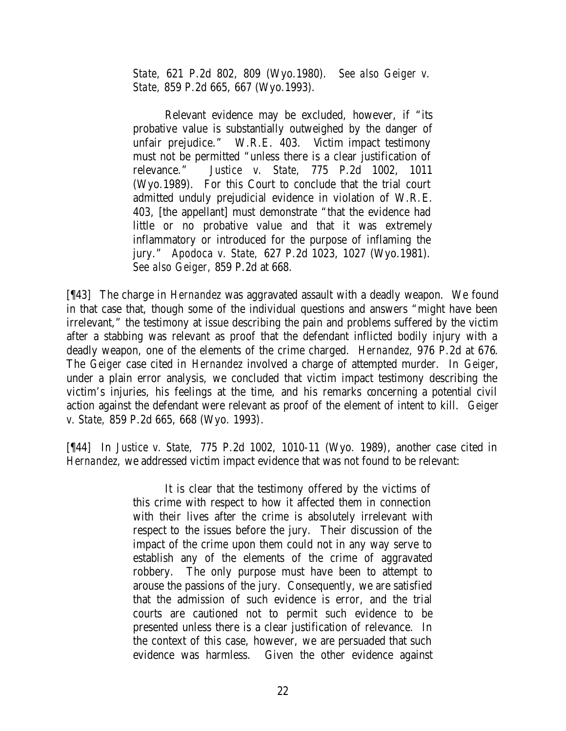*State,* 621 P.2d 802, 809 (Wyo.1980). *See also Geiger v. State,* 859 P.2d 665, 667 (Wyo.1993).

Relevant evidence may be excluded, however, if "its probative value is substantially outweighed by the danger of unfair prejudice." W.R.E. 403. Victim impact testimony must not be permitted "unless there is a clear justification of relevance." *Justice v. State,* 775 P.2d 1002, 1011 (Wyo.1989). For this Court to conclude that the trial court admitted unduly prejudicial evidence in violation of W.R.E. 403, [the appellant] must demonstrate "that the evidence had little or no probative value and that it was extremely inflammatory or introduced for the purpose of inflaming the jury." *Apodoca v. State,* 627 P.2d 1023, 1027 (Wyo.1981). *See also Geiger,* 859 P.2d at 668.

[¶43] The charge in *Hernandez* was aggravated assault with a deadly weapon. We found in that case that, though some of the individual questions and answers "might have been irrelevant," the testimony at issue describing the pain and problems suffered by the victim after a stabbing was relevant as proof that the defendant inflicted bodily injury with a deadly weapon, one of the elements of the crime charged. *Hernandez,* 976 P.2d at 676. The *Geiger* case cited in *Hernandez* involved a charge of attempted murder. In *Geiger,*  under a plain error analysis, we concluded that victim impact testimony describing the victim's injuries, his feelings at the time, and his remarks concerning a potential civil action against the defendant were relevant as proof of the element of intent to kill. *Geiger v. State,* 859 P.2d 665, 668 (Wyo. 1993).

[¶44] In *Justice v. State,* 775 P.2d 1002, 1010-11 (Wyo. 1989), another case cited in *Hernandez,* we addressed victim impact evidence that was not found to be relevant:

> It is clear that the testimony offered by the victims of this crime with respect to how it affected them in connection with their lives after the crime is absolutely irrelevant with respect to the issues before the jury. Their discussion of the impact of the crime upon them could not in any way serve to establish any of the elements of the crime of aggravated robbery. The only purpose must have been to attempt to arouse the passions of the jury. Consequently, we are satisfied that the admission of such evidence is error, and the trial courts are cautioned not to permit such evidence to be presented unless there is a clear justification of relevance. In the context of this case, however, we are persuaded that such evidence was harmless. Given the other evidence against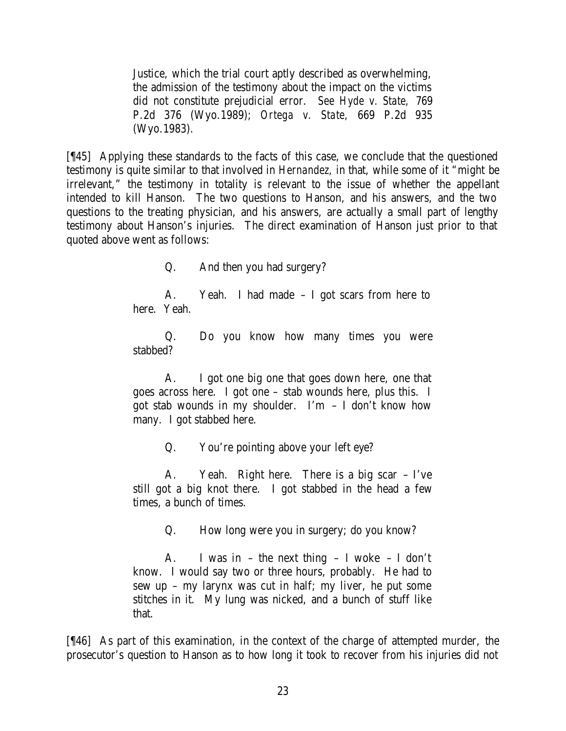Justice, which the trial court aptly described as overwhelming, the admission of the testimony about the impact on the victims did not constitute prejudicial error. *See Hyde v. State,* 769 P.2d 376 (Wyo.1989); *Ortega v. State,* 669 P.2d 935 (Wyo.1983).

[¶45] Applying these standards to the facts of this case, we conclude that the questioned testimony is quite similar to that involved in *Hernandez,* in that, while some of it "might be irrelevant," the testimony in totality is relevant to the issue of whether the appellant intended to kill Hanson. The two questions to Hanson, and his answers, and the two questions to the treating physician, and his answers, are actually a small part of lengthy testimony about Hanson's injuries. The direct examination of Hanson just prior to that quoted above went as follows:

Q. And then you had surgery?

A. Yeah. I had made – I got scars from here to here. Yeah.

Q. Do you know how many times you were stabbed?

A. I got one big one that goes down here, one that goes across here. I got one – stab wounds here, plus this. I got stab wounds in my shoulder. I'm  $-$  I don't know how many. I got stabbed here.

Q. You're pointing above your left eye?

A. Yeah. Right here. There is a big scar – I've still got a big knot there. I got stabbed in the head a few times, a bunch of times.

Q. How long were you in surgery; do you know?

A. I was in – the next thing – I woke – I don't know. I would say two or three hours, probably. He had to sew up – my larynx was cut in half; my liver, he put some stitches in it. My lung was nicked, and a bunch of stuff like that.

[¶46] As part of this examination, in the context of the charge of attempted murder, the prosecutor's question to Hanson as to how long it took to recover from his injuries did not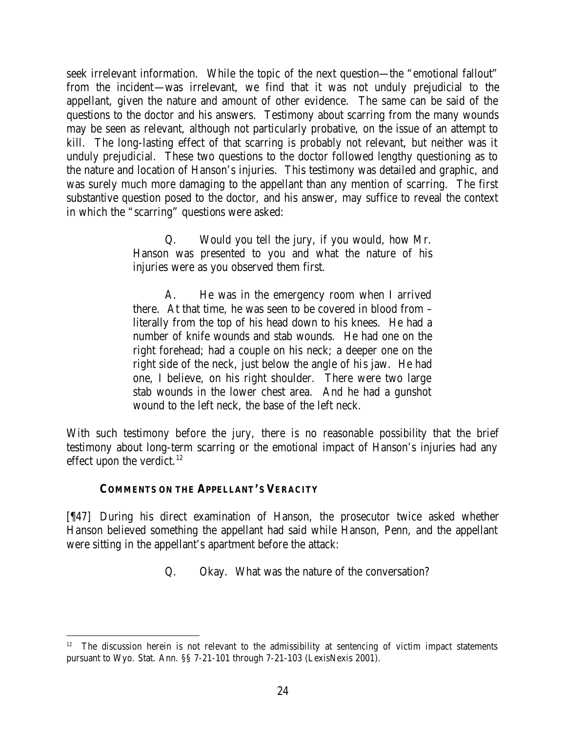seek irrelevant information. While the topic of the next question—the "emotional fallout" from the incident—was irrelevant, we find that it was not unduly prejudicial to the appellant, given the nature and amount of other evidence. The same can be said of the questions to the doctor and his answers. Testimony about scarring from the many wounds may be seen as relevant, although not particularly probative, on the issue of an attempt to kill. The long-lasting effect of that scarring is probably not relevant, but neither was it unduly prejudicial. These two questions to the doctor followed lengthy questioning as to the nature and location of Hanson's injuries. This testimony was detailed and graphic, and was surely much more damaging to the appellant than any mention of scarring. The first substantive question posed to the doctor, and his answer, may suffice to reveal the context in which the "scarring" questions were asked:

> Q. Would you tell the jury, if you would, how Mr. Hanson was presented to you and what the nature of his injuries were as you observed them first.

> A. He was in the emergency room when I arrived there. At that time, he was seen to be covered in blood from – literally from the top of his head down to his knees. He had a number of knife wounds and stab wounds. He had one on the right forehead; had a couple on his neck; a deeper one on the right side of the neck, just below the angle of his jaw. He had one, I believe, on his right shoulder. There were two large stab wounds in the lower chest area. And he had a gunshot wound to the left neck, the base of the left neck.

With such testimony before the jury, there is no reasonable possibility that the brief testimony about long-term scarring or the emotional impact of Hanson's injuries had any effect upon the verdict. $12$ 

### **COMMENTS ON THE APPELLANT'S VERACITY**

[¶47] During his direct examination of Hanson, the prosecutor twice asked whether Hanson believed something the appellant had said while Hanson, Penn, and the appellant were sitting in the appellant's apartment before the attack:

Q. Okay. What was the nature of the conversation?

<sup>12</sup> The discussion herein is not relevant to the admissibility at sentencing of victim impact statements pursuant to Wyo. Stat. Ann. §§ 7-21-101 through 7-21-103 (LexisNexis 2001).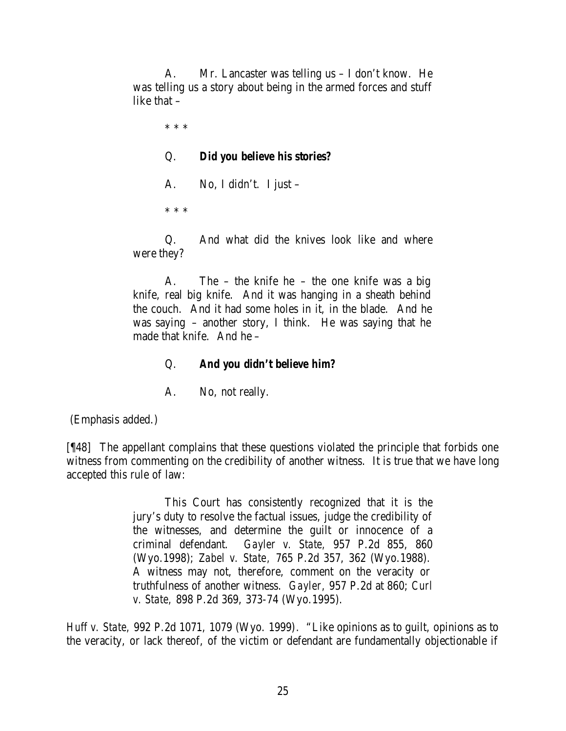A. Mr. Lancaster was telling us – I don't know. He was telling us a story about being in the armed forces and stuff like that –

> \* \* \* Q. *Did you believe his stories?* A. No, I didn't. I just – \* \* \*

Q. And what did the knives look like and where were they?

A. The – the knife he – the one knife was a big knife, real big knife. And it was hanging in a sheath behind the couch. And it had some holes in it, in the blade. And he was saying – another story, I think. He was saying that he made that knife. And he –

# Q. *And you didn't believe him?*

A. No, not really.

(Emphasis added.)

[¶48] The appellant complains that these questions violated the principle that forbids one witness from commenting on the credibility of another witness. It is true that we have long accepted this rule of law:

> This Court has consistently recognized that it is the jury's duty to resolve the factual issues, judge the credibility of the witnesses, and determine the guilt or innocence of a criminal defendant. *Gayler v. State,* 957 P.2d 855, 860 (Wyo.1998); *Zabel v. State,* 765 P.2d 357, 362 (Wyo.1988). A witness may not, therefore, comment on the veracity or truthfulness of another witness. *Gayler,* 957 P.2d at 860; *Curl v. State,* 898 P.2d 369, 373-74 (Wyo.1995).

*Huff v. State,* 992 P.2d 1071, 1079 (Wyo. 1999). "Like opinions as to guilt, opinions as to the veracity, or lack thereof, of the victim or defendant are fundamentally objectionable if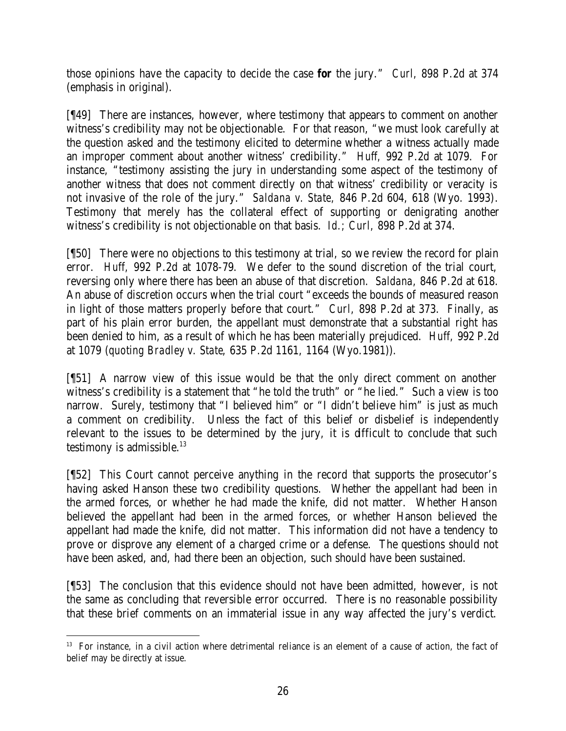those opinions have the capacity to decide the case *for* the jury." *Curl,* 898 P.2d at 374 (emphasis in original).

[¶49] There are instances, however, where testimony that appears to comment on another witness's credibility may not be objectionable. For that reason, "we must look carefully at the question asked and the testimony elicited to determine whether a witness actually made an improper comment about another witness' credibility." *Huff,* 992 P.2d at 1079. For instance, "testimony assisting the jury in understanding some aspect of the testimony of another witness that does not comment directly on that witness' credibility or veracity is not invasive of the role of the jury." *Saldana v. State,* 846 P.2d 604, 618 (Wyo. 1993). Testimony that merely has the collateral effect of supporting or denigrating another witness's credibility is not objectionable on that basis. *Id.; Curl,* 898 P.2d at 374.

[¶50] There were no objections to this testimony at trial, so we review the record for plain error. *Huff,* 992 P.2d at 1078-79. We defer to the sound discretion of the trial court, reversing only where there has been an abuse of that discretion. *Saldana,* 846 P.2d at 618. An abuse of discretion occurs when the trial court "exceeds the bounds of measured reason in light of those matters properly before that court." *Curl,* 898 P.2d at 373. Finally, as part of his plain error burden, the appellant must demonstrate that a substantial right has been denied to him, as a result of which he has been materially prejudiced. *Huff,* 992 P.2d at 1079 (*quoting Bradley v. State*, 635 P.2d 1161, 1164 (Wyo.1981)).

[¶51] A narrow view of this issue would be that the only direct comment on another witness's credibility is a statement that "he told the truth" or "he lied." Such a view is too narrow. Surely, testimony that "I believed him" or "I didn't believe him" is just as much a comment on credibility. Unless the fact of this belief or disbelief is independently relevant to the issues to be determined by the jury, it is difficult to conclude that such testimony is admissible. $13$ 

[¶52] This Court cannot perceive anything in the record that supports the prosecutor's having asked Hanson these two credibility questions. Whether the appellant had been in the armed forces, or whether he had made the knife, did not matter. Whether Hanson believed the appellant had been in the armed forces, or whether Hanson believed the appellant had made the knife, did not matter. This information did not have a tendency to prove or disprove any element of a charged crime or a defense. The questions should not have been asked, and, had there been an objection, such should have been sustained.

[¶53] The conclusion that this evidence should not have been admitted, however, is not the same as concluding that reversible error occurred. There is no reasonable possibility that these brief comments on an immaterial issue in any way affected the jury's verdict.

<sup>&</sup>lt;sup>13</sup> For instance, in a civil action where detrimental reliance is an element of a cause of action, the fact of belief may be directly at issue.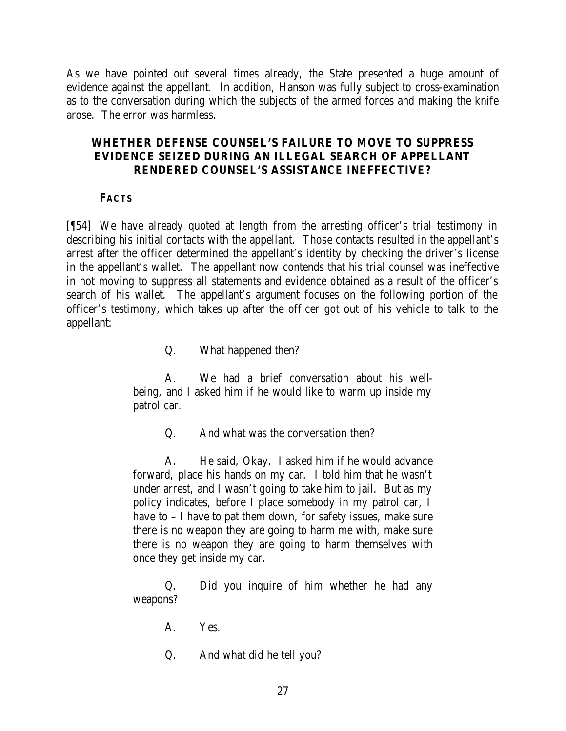As we have pointed out several times already, the State presented a huge amount of evidence against the appellant. In addition, Hanson was fully subject to cross-examination as to the conversation during which the subjects of the armed forces and making the knife arose. The error was harmless.

# **WHETHER DEFENSE COUNSEL'S FAILURE TO MOVE TO SUPPRESS EVIDENCE SEIZED DURING AN ILLEGAL SEARCH OF APPELLANT RENDERED COUNSEL'S ASSISTANCE INEFFECTIVE?**

# **FACTS**

[¶54] We have already quoted at length from the arresting officer's trial testimony in describing his initial contacts with the appellant. Those contacts resulted in the appellant's arrest after the officer determined the appellant's identity by checking the driver's license in the appellant's wallet. The appellant now contends that his trial counsel was ineffective in not moving to suppress all statements and evidence obtained as a result of the officer's search of his wallet. The appellant's argument focuses on the following portion of the officer's testimony, which takes up after the officer got out of his vehicle to talk to the appellant:

Q. What happened then?

A. We had a brief conversation about his wellbeing, and I asked him if he would like to warm up inside my patrol car.

Q. And what was the conversation then?

A. He said, Okay. I asked him if he would advance forward, place his hands on my car. I told him that he wasn't under arrest, and I wasn't going to take him to jail. But as my policy indicates, before I place somebody in my patrol car, I have to – I have to pat them down, for safety issues, make sure there is no weapon they are going to harm me with, make sure there is no weapon they are going to harm themselves with once they get inside my car.

Q. Did you inquire of him whether he had any weapons?

- A. Yes.
- Q. And what did he tell you?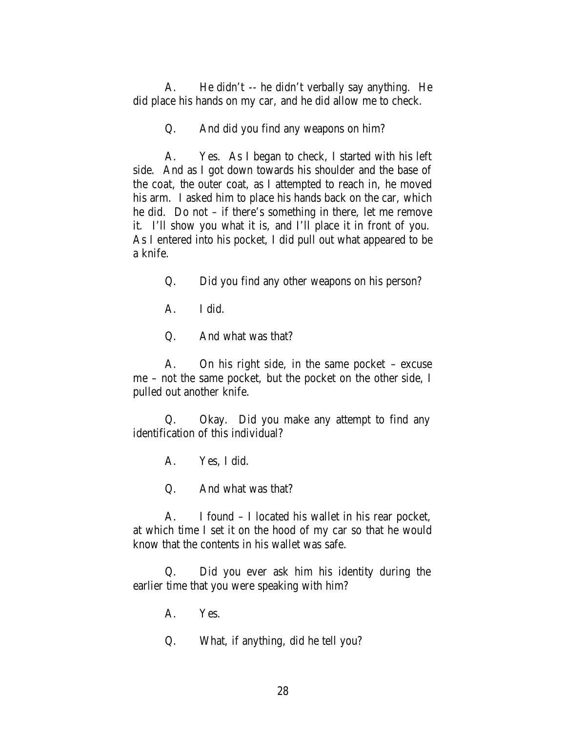A. He didn't -- he didn't verbally say anything. He did place his hands on my car, and he did allow me to check.

Q. And did you find any weapons on him?

A. Yes. As I began to check, I started with his left side. And as I got down towards his shoulder and the base of the coat, the outer coat, as I attempted to reach in, he moved his arm. I asked him to place his hands back on the car, which he did. Do not – if there's something in there, let me remove it. I'll show you what it is, and I'll place it in front of you. As I entered into his pocket, I did pull out what appeared to be a knife.

Q. Did you find any other weapons on his person?

A. I did.

Q. And what was that?

A. On his right side, in the same pocket – excuse me – not the same pocket, but the pocket on the other side, I pulled out another knife.

Q. Okay. Did you make any attempt to find any identification of this individual?

A. Yes, I did.

Q. And what was that?

A. I found – I located his wallet in his rear pocket, at which time I set it on the hood of my car so that he would know that the contents in his wallet was safe.

Q. Did you ever ask him his identity during the earlier time that you were speaking with him?

A. Yes.

Q. What, if anything, did he tell you?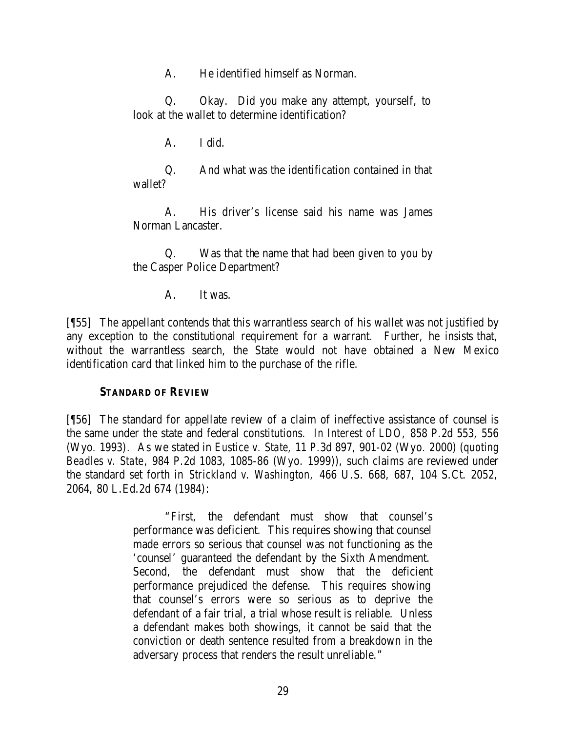A. He identified himself as Norman.

Q. Okay. Did you make any attempt, yourself, to look at the wallet to determine identification?

A. I did.

Q. And what was the identification contained in that wallet?

A. His driver's license said his name was James Norman Lancaster.

Q. Was that the name that had been given to you by the Casper Police Department?

A. It was.

[¶55] The appellant contends that this warrantless search of his wallet was not justified by any exception to the constitutional requirement for a warrant. Further, he insists that, without the warrantless search, the State would not have obtained a New Mexico identification card that linked him to the purchase of the rifle.

### **STANDARD OF REVIEW**

[¶56] The standard for appellate review of a claim of ineffective assistance of counsel is the same under the state and federal constitutions. *In Interest of LDO,* 858 P.2d 553, 556 (Wyo. 1993). As we stated in *Eustice v. State,* 11 P.3d 897, 901-02 (Wyo. 2000) (*quoting Beadles v. State*, 984 P.2d 1083, 1085-86 (Wyo. 1999)), such claims are reviewed under the standard set forth in *Strickland v. Washington,* 466 U.S. 668, 687, 104 S.Ct. 2052, 2064, 80 L.Ed.2d 674 (1984):

> "First, the defendant must show that counsel's performance was deficient. This requires showing that counsel made errors so serious that counsel was not functioning as the 'counsel' guaranteed the defendant by the Sixth Amendment. Second, the defendant must show that the deficient performance prejudiced the defense. This requires showing that counsel's errors were so serious as to deprive the defendant of a fair trial, a trial whose result is reliable. Unless a defendant makes both showings, it cannot be said that the conviction or death sentence resulted from a breakdown in the adversary process that renders the result unreliable."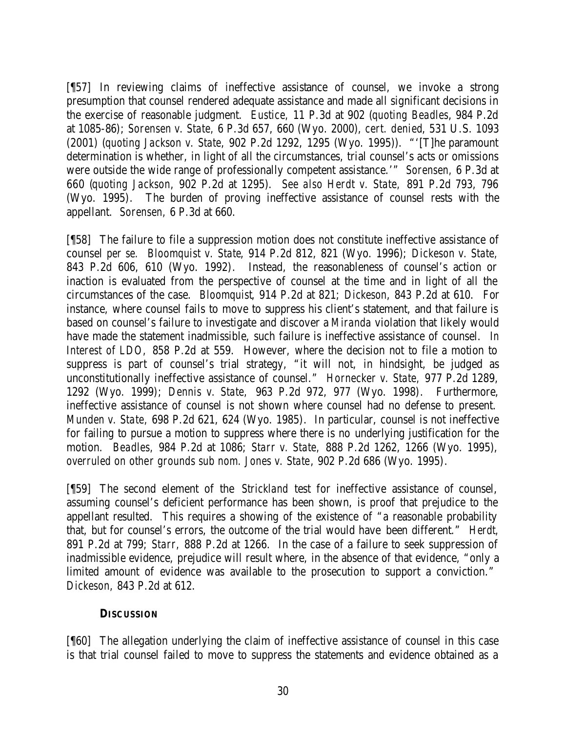[¶57] In reviewing claims of ineffective assistance of counsel, we invoke a strong presumption that counsel rendered adequate assistance and made all significant decisions in the exercise of reasonable judgment. *Eustice,* 11 P.3d at 902 (*quoting Beadles*, 984 P.2d at 1085-86); *Sorensen v. State,* 6 P.3d 657, 660 (Wyo. 2000), *cert. denied*, 531 U.S. 1093 (2001) (*quoting Jackson v. State*, 902 P.2d 1292, 1295 (Wyo. 1995)). "'[T]he paramount determination is whether, in light of all the circumstances, trial counsel's acts or omissions were outside the wide range of professionally competent assistance.'" *Sorensen,* 6 P.3d at 660 (*quoting Jackson*, 902 P.2d at 1295). *See also Herdt v. State,* 891 P.2d 793, 796 (Wyo. 1995). The burden of proving ineffective assistance of counsel rests with the appellant. *Sorensen,* 6 P.3d at 660.

[¶58] The failure to file a suppression motion does not constitute ineffective assistance of counsel *per se. Bloomquist v. State*, 914 P.2d 812, 821 (Wyo. 1996); *Dickeson v. State,*  843 P.2d 606, 610 (Wyo. 1992). Instead, the reasonableness of counsel's action or inaction is evaluated from the perspective of counsel at the time and in light of all the circumstances of the case. *Bloomquist*, 914 P.2d at 821; *Dickeson*, 843 P.2d at 610.For instance, where counsel fails to move to suppress his client's statement, and that failure is based on counsel's failure to investigate and discover a *Miranda* violation that likely would have made the statement inadmissible, such failure is ineffective assistance of counsel. *In Interest of LDO,* 858 P.2d at 559. However, where the decision not to file a motion to suppress is part of counsel's trial strategy, "it will not, in hindsight, be judged as unconstitutionally ineffective assistance of counsel." *Hornecker v. State,* 977 P.2d 1289, 1292 (Wyo. 1999); *Dennis v. State,* 963 P.2d 972, 977 (Wyo. 1998). Furthermore, ineffective assistance of counsel is not shown where counsel had no defense to present. *Munden v. State,* 698 P.2d 621, 624 (Wyo. 1985). In particular, counsel is not ineffective for failing to pursue a motion to suppress where there is no underlying justification for the motion. *Beadles,* 984 P.2d at 1086; *Starr v. State,* 888 P.2d 1262, 1266 (Wyo. 1995), *overruled on other grounds sub nom. Jones v. State*, 902 P.2d 686 (Wyo. 1995).

[¶59] The second element of the *Strickland* test for ineffective assistance of counsel, assuming counsel's deficient performance has been shown, is proof that prejudice to the appellant resulted. This requires a showing of the existence of "a reasonable probability that, but for counsel's errors, the outcome of the trial would have been different." *Herdt,*  891 P.2d at 799; *Starr,* 888 P.2d at 1266. In the case of a failure to seek suppression of inadmissible evidence, prejudice will result where, in the absence of that evidence, "only a limited amount of evidence was available to the prosecution to support a conviction." *Dickeson,* 843 P.2d at 612.

### **DISCUSSION**

[¶60] The allegation underlying the claim of ineffective assistance of counsel in this case is that trial counsel failed to move to suppress the statements and evidence obtained as a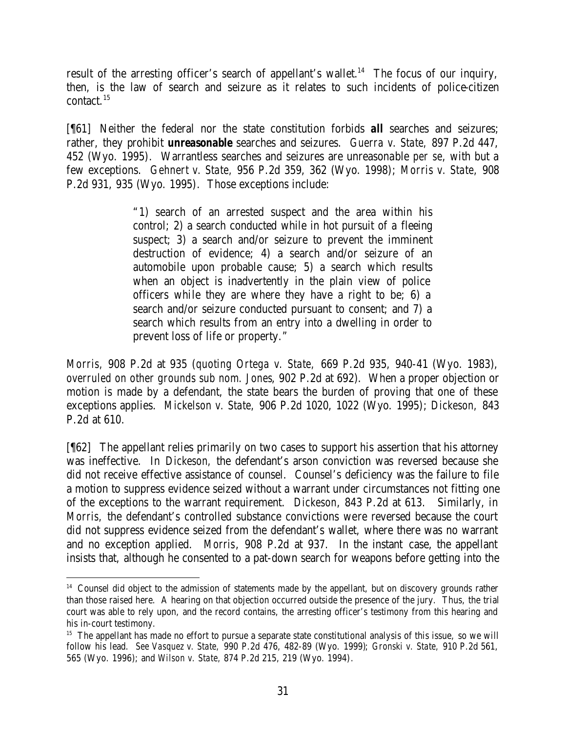result of the arresting officer's search of appellant's wallet.<sup>14</sup> The focus of our inquiry, then, is the law of search and seizure as it relates to such incidents of police-citizen contact.<sup>15</sup>

[¶61] Neither the federal nor the state constitution forbids *all* searches and seizures; rather, they prohibit *unreasonable* searches and seizures. *Guerra v. State,* 897 P.2d 447, 452 (Wyo. 1995). Warrantless searches and seizures are unreasonable *per se*, with but a few exceptions. *Gehnert v. State,* 956 P.2d 359, 362 (Wyo. 1998); *Morris v. State,* 908 P.2d 931, 935 (Wyo. 1995). Those exceptions include:

> "1) search of an arrested suspect and the area within his control; 2) a search conducted while in hot pursuit of a fleeing suspect; 3) a search and/or seizure to prevent the imminent destruction of evidence; 4) a search and/or seizure of an automobile upon probable cause; 5) a search which results when an object is inadvertently in the plain view of police officers while they are where they have a right to be; 6) a search and/or seizure conducted pursuant to consent; and 7) a search which results from an entry into a dwelling in order to prevent loss of life or property."

*Morris,* 908 P.2d at 935 (*quoting Ortega v. State,* 669 P.2d 935, 940-41 (Wyo. 1983), *overruled on other grounds sub nom. Jones*, 902 P.2d at 692). When a proper objection or motion is made by a defendant, the state bears the burden of proving that one of these exceptions applies. *Mickelson v. State,* 906 P.2d 1020, 1022 (Wyo. 1995); *Dickeson,* 843 P.2d at 610.

[¶62] The appellant relies primarily on two cases to support his assertion that his attorney was ineffective. In *Dickeson,* the defendant's arson conviction was reversed because she did not receive effective assistance of counsel. Counsel's deficiency was the failure to file a motion to suppress evidence seized without a warrant under circumstances not fitting one of the exceptions to the warrant requirement. *Dickeson*, 843 P.2d at 613. Similarly, in *Morris,* the defendant's controlled substance convictions were reversed because the court did not suppress evidence seized from the defendant's wallet, where there was no warrant and no exception applied. *Morris*, 908 P.2d at 937. In the instant case, the appellant insists that, although he consented to a pat-down search for weapons before getting into the

<sup>&</sup>lt;sup>14</sup> Counsel did object to the admission of statements made by the appellant, but on discovery grounds rather than those raised here. A hearing on that objection occurred outside the presence of the jury. Thus, the trial court was able to rely upon, and the record contains, the arresting officer's testimony from this hearing and his in-court testimony.

<sup>&</sup>lt;sup>15</sup> The appellant has made no effort to pursue a separate state constitutional analysis of this issue, so we will follow his lead. *See Vasquez v. State,* 990 P.2d 476, 482-89 (Wyo. 1999); *Gronski v. State,* 910 P.2d 561, 565 (Wyo. 1996); and *Wilson v. State,* 874 P.2d 215, 219 (Wyo. 1994).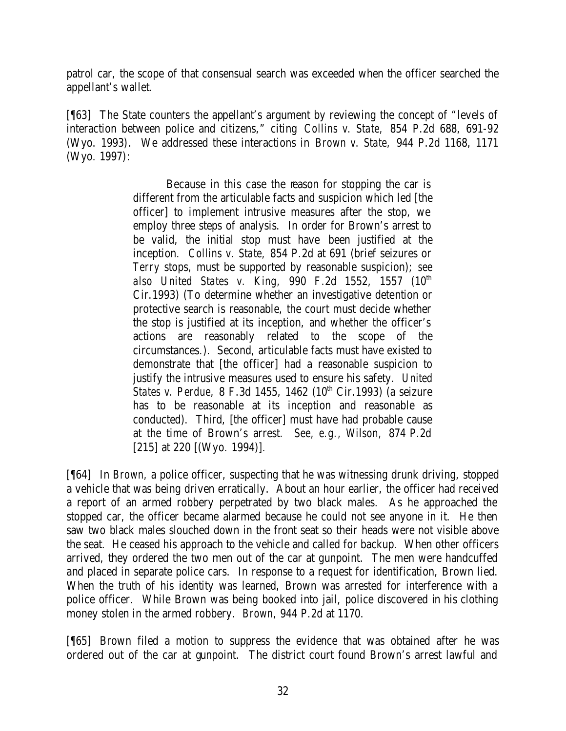patrol car, the scope of that consensual search was exceeded when the officer searched the appellant's wallet.

[¶63] The State counters the appellant's argument by reviewing the concept of "levels of interaction between police and citizens," citing *Collins v. State,* 854 P.2d 688, 691-92 (Wyo. 1993). We addressed these interactions in *Brown v. State,* 944 P.2d 1168, 1171 (Wyo. 1997):

> Because in this case the reason for stopping the car is different from the articulable facts and suspicion which led [the officer] to implement intrusive measures after the stop, we employ three steps of analysis. In order for Brown's arrest to be valid, the initial stop must have been justified at the inception. *Collins v. State,* 854 P.2d at 691 (brief seizures or *Terry* stops, must be supported by reasonable suspicion); *see*  also United States v. King, 990 F.2d 1552, 1557 (10<sup>th</sup> Cir.1993) (To determine whether an investigative detention or protective search is reasonable, the court must decide whether the stop is justified at its inception, and whether the officer's actions are reasonably related to the scope of the circumstances.). Second, articulable facts must have existed to demonstrate that [the officer] had a reasonable suspicion to justify the intrusive measures used to ensure his safety. *United States v. Perdue, 8 F.3d 1455, 1462 (10<sup>th</sup> Cir.1993) (a seizure* has to be reasonable at its inception and reasonable as conducted). Third, [the officer] must have had probable cause at the time of Brown's arrest. *See, e.g., Wilson,* 874 P.2d [215] at 220 [(Wyo. 1994)].

[¶64] In *Brown,* a police officer, suspecting that he was witnessing drunk driving, stopped a vehicle that was being driven erratically. About an hour earlier, the officer had received a report of an armed robbery perpetrated by two black males. As he approached the stopped car, the officer became alarmed because he could not see anyone in it. He then saw two black males slouched down in the front seat so their heads were not visible above the seat. He ceased his approach to the vehicle and called for backup. When other officers arrived, they ordered the two men out of the car at gunpoint. The men were handcuffed and placed in separate police cars. In response to a request for identification, Brown lied. When the truth of his identity was learned, Brown was arrested for interference with a police officer. While Brown was being booked into jail, police discovered in his clothing money stolen in the armed robbery. *Brown*, 944 P.2d at 1170.

[¶65] Brown filed a motion to suppress the evidence that was obtained after he was ordered out of the car at gunpoint. The district court found Brown's arrest lawful and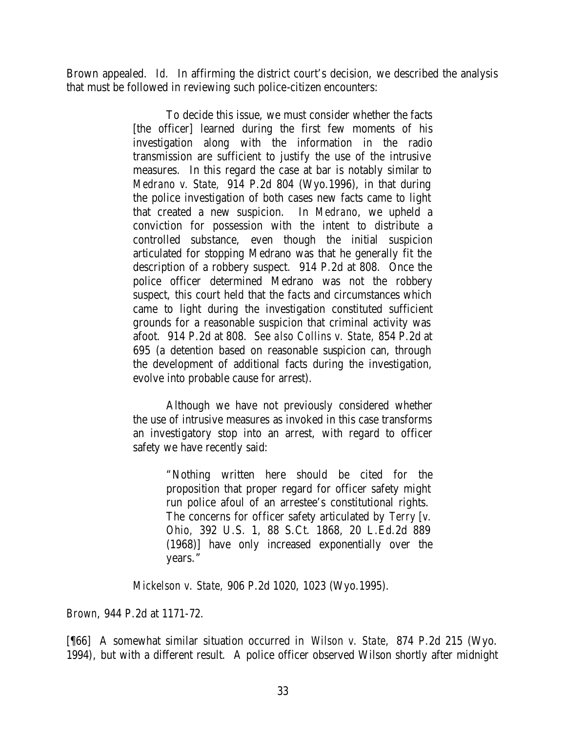Brown appealed. *Id.* In affirming the district court's decision, we described the analysis that must be followed in reviewing such police-citizen encounters:

> To decide this issue, we must consider whether the facts [the officer] learned during the first few moments of his investigation along with the information in the radio transmission are sufficient to justify the use of the intrusive measures. In this regard the case at bar is notably similar to *Medrano v. State,* 914 P.2d 804 (Wyo.1996), in that during the police investigation of both cases new facts came to light that created a new suspicion. In *Medrano*, we upheld a conviction for possession with the intent to distribute a controlled substance, even though the initial suspicion articulated for stopping Medrano was that he generally fit the description of a robbery suspect. 914 P.2d at 808. Once the police officer determined Medrano was not the robbery suspect, this court held that the facts and circumstances which came to light during the investigation constituted sufficient grounds for a reasonable suspicion that criminal activity was afoot. 914 P.2d at 808. *See also Collins v. State,* 854 P.2d at 695 (a detention based on reasonable suspicion can, through the development of additional facts during the investigation, evolve into probable cause for arrest).

> Although we have not previously considered whether the use of intrusive measures as invoked in this case transforms an investigatory stop into an arrest, with regard to officer safety we have recently said:

> > "Nothing written here should be cited for the proposition that proper regard for officer safety might run police afoul of an arrestee's constitutional rights. The concerns for officer safety articulated by *Terry [v. Ohio,* 392 U.S. 1, 88 S.Ct. 1868, 20 L.Ed.2d 889 (1968)] have only increased exponentially over the years."

*Mickelson v. State,* 906 P.2d 1020, 1023 (Wyo.1995).

*Brown*, 944 P.2d at 1171-72.

[¶66] A somewhat similar situation occurred in *Wilson v. State,* 874 P.2d 215 (Wyo. 1994), but with a different result. A police officer observed Wilson shortly after midnight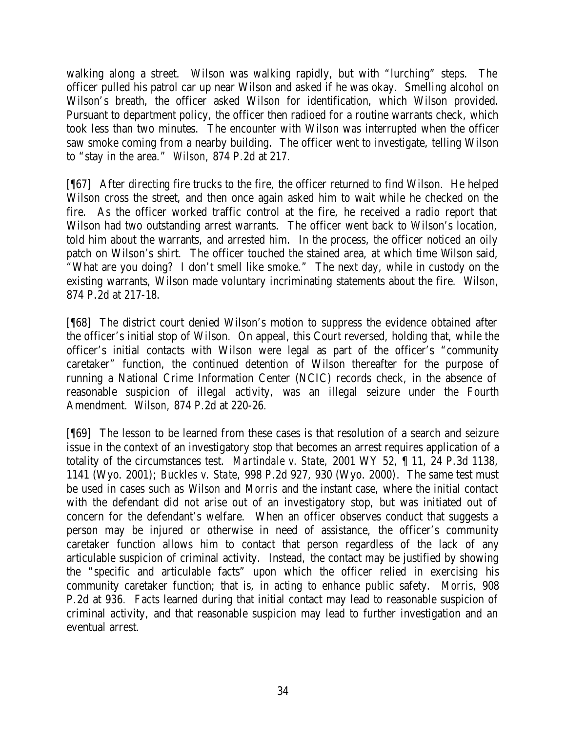walking along a street. Wilson was walking rapidly, but with "lurching" steps. The officer pulled his patrol car up near Wilson and asked if he was okay. Smelling alcohol on Wilson's breath, the officer asked Wilson for identification, which Wilson provided. Pursuant to department policy, the officer then radioed for a routine warrants check, which took less than two minutes. The encounter with Wilson was interrupted when the officer saw smoke coming from a nearby building. The officer went to investigate, telling Wilson to "stay in the area." *Wilson,* 874 P.2d at 217.

[¶67] After directing fire trucks to the fire, the officer returned to find Wilson. He helped Wilson cross the street, and then once again asked him to wait while he checked on the fire. As the officer worked traffic control at the fire, he received a radio report that Wilson had two outstanding arrest warrants. The officer went back to Wilson's location, told him about the warrants, and arrested him. In the process, the officer noticed an oily patch on Wilson's shirt. The officer touched the stained area, at which time Wilson said, "What are you doing? I don't smell like smoke." The next day, while in custody on the existing warrants, Wilson made voluntary incriminating statements about the fire. *Wilson,*  874 P.2d at 217-18.

[¶68] The district court denied Wilson's motion to suppress the evidence obtained after the officer's initial stop of Wilson. On appeal, this Court reversed, holding that, while the officer's initial contacts with Wilson were legal as part of the officer's "community caretaker" function, the continued detention of Wilson thereafter for the purpose of running a National Crime Information Center (NCIC) records check, in the absence of reasonable suspicion of illegal activity, was an illegal seizure under the Fourth Amendment. *Wilson,* 874 P.2d at 220-26.

[¶69] The lesson to be learned from these cases is that resolution of a search and seizure issue in the context of an investigatory stop that becomes an arrest requires application of a totality of the circumstances test. *Martindale v. State,* 2001 WY 52, ¶ 11, 24 P.3d 1138, 1141 (Wyo. 2001); *Buckles v. State,* 998 P.2d 927, 930 (Wyo. 2000). The same test must be used in cases such as *Wilson* and *Morris* and the instant case, where the initial contact with the defendant did not arise out of an investigatory stop, but was initiated out of concern for the defendant's welfare. When an officer observes conduct that suggests a person may be injured or otherwise in need of assistance, the officer's community caretaker function allows him to contact that person regardless of the lack of any articulable suspicion of criminal activity. Instead, the contact may be justified by showing the "specific and articulable facts" upon which the officer relied in exercising his community caretaker function; that is, in acting to enhance public safety. *Morris,* 908 P.2d at 936. Facts learned during that initial contact may lead to reasonable suspicion of criminal activity, and that reasonable suspicion may lead to further investigation and an eventual arrest.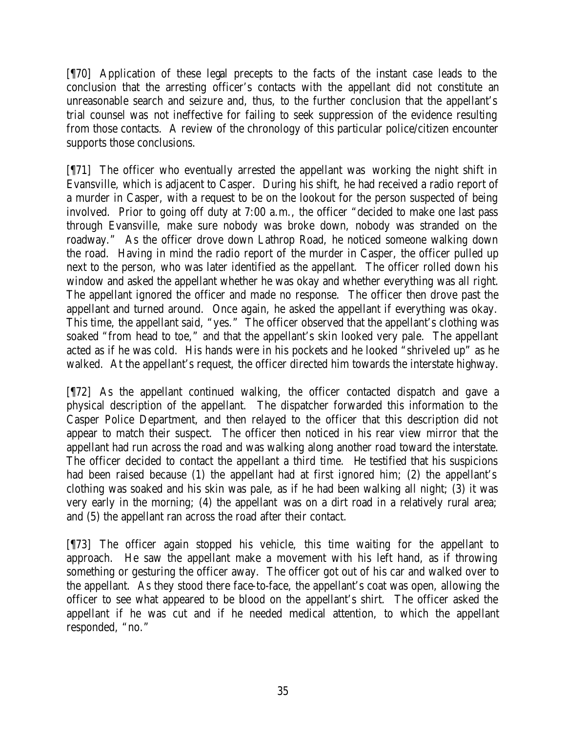[¶70] Application of these legal precepts to the facts of the instant case leads to the conclusion that the arresting officer's contacts with the appellant did not constitute an unreasonable search and seizure and, thus, to the further conclusion that the appellant's trial counsel was not ineffective for failing to seek suppression of the evidence resulting from those contacts. A review of the chronology of this particular police/citizen encounter supports those conclusions.

[¶71] The officer who eventually arrested the appellant was working the night shift in Evansville, which is adjacent to Casper. During his shift, he had received a radio report of a murder in Casper, with a request to be on the lookout for the person suspected of being involved. Prior to going off duty at 7:00 a.m., the officer "decided to make one last pass through Evansville, make sure nobody was broke down, nobody was stranded on the roadway." As the officer drove down Lathrop Road, he noticed someone walking down the road. Having in mind the radio report of the murder in Casper, the officer pulled up next to the person, who was later identified as the appellant. The officer rolled down his window and asked the appellant whether he was okay and whether everything was all right. The appellant ignored the officer and made no response. The officer then drove past the appellant and turned around. Once again, he asked the appellant if everything was okay. This time, the appellant said, "yes." The officer observed that the appellant's clothing was soaked "from head to toe," and that the appellant's skin looked very pale. The appellant acted as if he was cold. His hands were in his pockets and he looked "shriveled up" as he walked. At the appellant's request, the officer directed him towards the interstate highway.

[¶72] As the appellant continued walking, the officer contacted dispatch and gave a physical description of the appellant. The dispatcher forwarded this information to the Casper Police Department, and then relayed to the officer that this description did not appear to match their suspect. The officer then noticed in his rear view mirror that the appellant had run across the road and was walking along another road toward the interstate. The officer decided to contact the appellant a third time. He testified that his suspicions had been raised because (1) the appellant had at first ignored him; (2) the appellant's clothing was soaked and his skin was pale, as if he had been walking all night; (3) it was very early in the morning; (4) the appellant was on a dirt road in a relatively rural area; and (5) the appellant ran across the road after their contact.

[¶73] The officer again stopped his vehicle, this time waiting for the appellant to approach. He saw the appellant make a movement with his left hand, as if throwing something or gesturing the officer away. The officer got out of his car and walked over to the appellant. As they stood there face-to-face, the appellant's coat was open, allowing the officer to see what appeared to be blood on the appellant's shirt. The officer asked the appellant if he was cut and if he needed medical attention, to which the appellant responded, "no."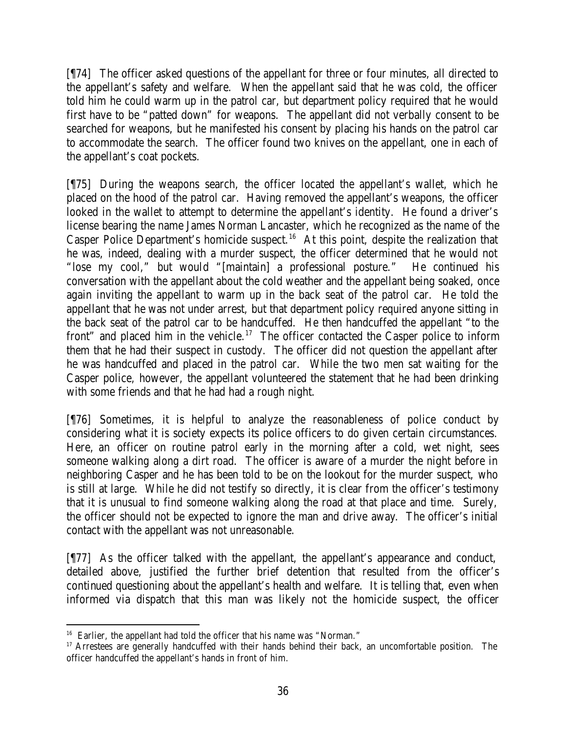[¶74] The officer asked questions of the appellant for three or four minutes, all directed to the appellant's safety and welfare. When the appellant said that he was cold, the officer told him he could warm up in the patrol car, but department policy required that he would first have to be "patted down" for weapons. The appellant did not verbally consent to be searched for weapons, but he manifested his consent by placing his hands on the patrol car to accommodate the search. The officer found two knives on the appellant, one in each of the appellant's coat pockets.

[¶75] During the weapons search, the officer located the appellant's wallet, which he placed on the hood of the patrol car. Having removed the appellant's weapons, the officer looked in the wallet to attempt to determine the appellant's identity. He found a driver's license bearing the name James Norman Lancaster, which he recognized as the name of the Casper Police Department's homicide suspect.<sup>16</sup> At this point, despite the realization that he was, indeed, dealing with a murder suspect, the officer determined that he would not "lose my cool," but would "[maintain] a professional posture." He continued his conversation with the appellant about the cold weather and the appellant being soaked, once again inviting the appellant to warm up in the back seat of the patrol car. He told the appellant that he was not under arrest, but that department policy required anyone sitting in the back seat of the patrol car to be handcuffed. He then handcuffed the appellant "to the front" and placed him in the vehicle.<sup>17</sup> The officer contacted the Casper police to inform them that he had their suspect in custody. The officer did not question the appellant after he was handcuffed and placed in the patrol car. While the two men sat waiting for the Casper police, however, the appellant volunteered the statement that he had been drinking with some friends and that he had had a rough night.

[¶76] Sometimes, it is helpful to analyze the reasonableness of police conduct by considering what it is society expects its police officers to do given certain circumstances. Here, an officer on routine patrol early in the morning after a cold, wet night, sees someone walking along a dirt road. The officer is aware of a murder the night before in neighboring Casper and he has been told to be on the lookout for the murder suspect, who is still at large. While he did not testify so directly, it is clear from the officer's testimony that it is unusual to find someone walking along the road at that place and time. Surely, the officer should not be expected to ignore the man and drive away. The officer's initial contact with the appellant was not unreasonable.

[¶77] As the officer talked with the appellant, the appellant's appearance and conduct, detailed above, justified the further brief detention that resulted from the officer's continued questioning about the appellant's health and welfare. It is telling that, even when informed via dispatch that this man was likely not the homicide suspect, the officer

 <sup>16</sup> Earlier, the appellant had told the officer that his name was "Norman."

<sup>&</sup>lt;sup>17</sup> Arrestees are generally handcuffed with their hands behind their back, an uncomfortable position. The officer handcuffed the appellant's hands in front of him.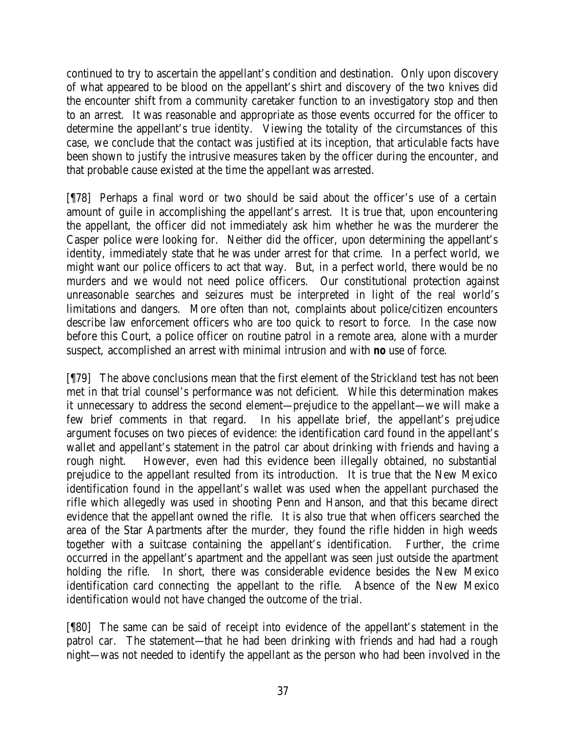continued to try to ascertain the appellant's condition and destination. Only upon discovery of what appeared to be blood on the appellant's shirt and discovery of the two knives did the encounter shift from a community caretaker function to an investigatory stop and then to an arrest. It was reasonable and appropriate as those events occurred for the officer to determine the appellant's true identity. Viewing the totality of the circumstances of this case, we conclude that the contact was justified at its inception, that articulable facts have been shown to justify the intrusive measures taken by the officer during the encounter, and that probable cause existed at the time the appellant was arrested.

[¶78] Perhaps a final word or two should be said about the officer's use of a certain amount of guile in accomplishing the appellant's arrest. It is true that, upon encountering the appellant, the officer did not immediately ask him whether he was the murderer the Casper police were looking for. Neither did the officer, upon determining the appellant's identity, immediately state that he was under arrest for that crime. In a perfect world, we might want our police officers to act that way. But, in a perfect world, there would be no murders and we would not need police officers. Our constitutional protection against unreasonable searches and seizures must be interpreted in light of the real world's limitations and dangers. More often than not, complaints about police/citizen encounters describe law enforcement officers who are too quick to resort to force. In the case now before this Court, a police officer on routine patrol in a remote area, alone with a murder suspect, accomplished an arrest with minimal intrusion and with *no* use of force.

[¶79] The above conclusions mean that the first element of the *Strickland* test has not been met in that trial counsel's performance was not deficient. While this determination makes it unnecessary to address the second element—prejudice to the appellant—we will make a few brief comments in that regard. In his appellate brief, the appellant's prejudice argument focuses on two pieces of evidence: the identification card found in the appellant's wallet and appellant's statement in the patrol car about drinking with friends and having a rough night. However, even had this evidence been illegally obtained, no substantial prejudice to the appellant resulted from its introduction. It is true that the New Mexico identification found in the appellant's wallet was used when the appellant purchased the rifle which allegedly was used in shooting Penn and Hanson, and that this became direct evidence that the appellant owned the rifle. It is also true that when officers searched the area of the Star Apartments after the murder, they found the rifle hidden in high weeds together with a suitcase containing the appellant's identification. Further, the crime occurred in the appellant's apartment and the appellant was seen just outside the apartment holding the rifle. In short, there was considerable evidence besides the New Mexico identification card connecting the appellant to the rifle. Absence of the New Mexico identification would not have changed the outcome of the trial.

[¶80] The same can be said of receipt into evidence of the appellant's statement in the patrol car. The statement—that he had been drinking with friends and had had a rough night—was not needed to identify the appellant as the person who had been involved in the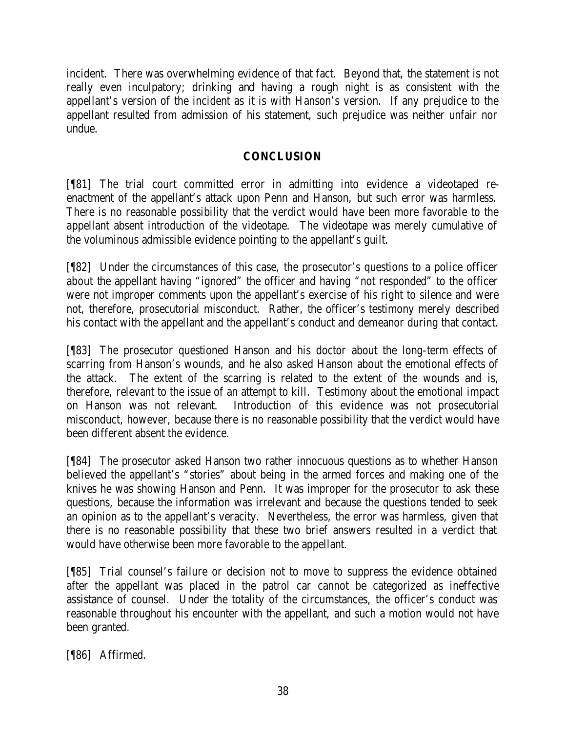incident. There was overwhelming evidence of that fact. Beyond that, the statement is not really even inculpatory; drinking and having a rough night is as consistent with the appellant's version of the incident as it is with Hanson's version. If any prejudice to the appellant resulted from admission of his statement, such prejudice was neither unfair nor undue.

# **CONCLUSION**

[¶81] The trial court committed error in admitting into evidence a videotaped reenactment of the appellant's attack upon Penn and Hanson, but such error was harmless. There is no reasonable possibility that the verdict would have been more favorable to the appellant absent introduction of the videotape. The videotape was merely cumulative of the voluminous admissible evidence pointing to the appellant's guilt.

[¶82] Under the circumstances of this case, the prosecutor's questions to a police officer about the appellant having "ignored" the officer and having "not responded" to the officer were not improper comments upon the appellant's exercise of his right to silence and were not, therefore, prosecutorial misconduct. Rather, the officer's testimony merely described his contact with the appellant and the appellant's conduct and demeanor during that contact.

[¶83] The prosecutor questioned Hanson and his doctor about the long-term effects of scarring from Hanson's wounds, and he also asked Hanson about the emotional effects of the attack. The extent of the scarring is related to the extent of the wounds and is, therefore, relevant to the issue of an attempt to kill. Testimony about the emotional impact on Hanson was not relevant. Introduction of this evidence was not prosecutorial misconduct, however, because there is no reasonable possibility that the verdict would have been different absent the evidence.

[¶84] The prosecutor asked Hanson two rather innocuous questions as to whether Hanson believed the appellant's "stories" about being in the armed forces and making one of the knives he was showing Hanson and Penn. It was improper for the prosecutor to ask these questions, because the information was irrelevant and because the questions tended to seek an opinion as to the appellant's veracity. Nevertheless, the error was harmless, given that there is no reasonable possibility that these two brief answers resulted in a verdict that would have otherwise been more favorable to the appellant.

[¶85] Trial counsel's failure or decision not to move to suppress the evidence obtained after the appellant was placed in the patrol car cannot be categorized as ineffective assistance of counsel. Under the totality of the circumstances, the officer's conduct was reasonable throughout his encounter with the appellant, and such a motion would not have been granted.

[¶86] Affirmed.